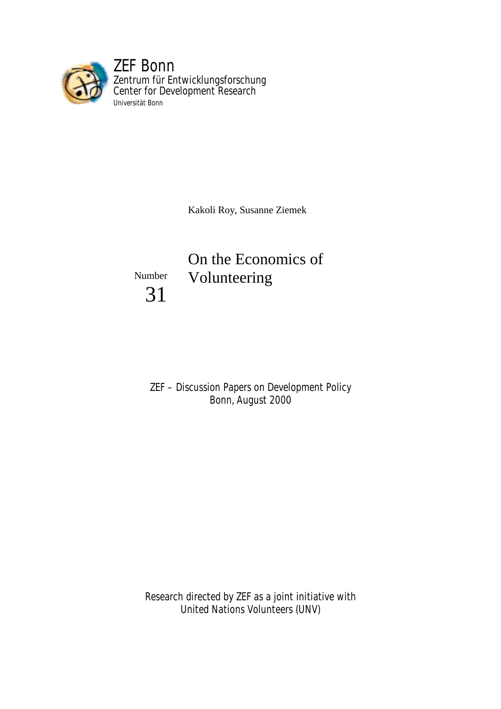

Kakoli Roy, Susanne Ziemek

Number 31

On the Economics of Volunteering

ZEF – Discussion Papers on Development Policy Bonn, August 2000

Research directed by ZEF as a joint initiative with United Nations Volunteers (UNV)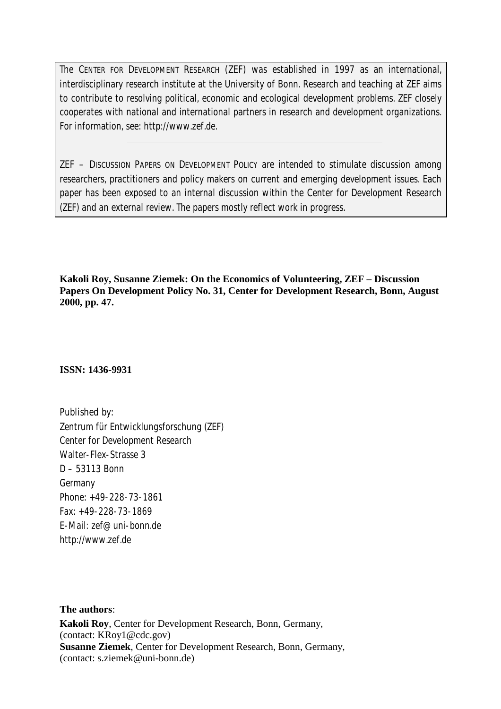The **CENTER FOR DEVELOPMENT RESEARCH (ZEF)** was established in 1997 as an international, interdisciplinary research institute at the University of Bonn. Research and teaching at ZEF aims to contribute to resolving political, economic and ecological development problems. ZEF closely cooperates with national and international partners in research and development organizations. For information, see: http://www.zef.de.

**ZEF – DISCUSSION PAPERS ON DEVELOPMENT POLICY** are intended to stimulate discussion among researchers, practitioners and policy makers on current and emerging development issues. Each paper has been exposed to an internal discussion within the Center for Development Research (ZEF) and an external review. The papers mostly reflect work in progress.

**Kakoli Roy, Susanne Ziemek: On the Economics of Volunteering, ZEF – Discussion Papers On Development Policy No. 31, Center for Development Research, Bonn, August 2000, pp. 47.** 

**ISSN: 1436-9931** 

**Published by:**  Zentrum für Entwicklungsforschung (ZEF) Center for Development Research Walter-Flex-Strasse 3 D – 53113 Bonn **Germany** Phone: +49-228-73-1861 Fax: +49-228-73-1869 E-Mail: zef@uni-bonn.de http://www.zef.de

**The authors**: **Kakoli Roy**, Center for Development Research, Bonn, Germany, (contact: KRoy1@cdc.gov) **Susanne Ziemek**, Center for Development Research, Bonn, Germany, (contact: s.ziemek@uni-bonn.de)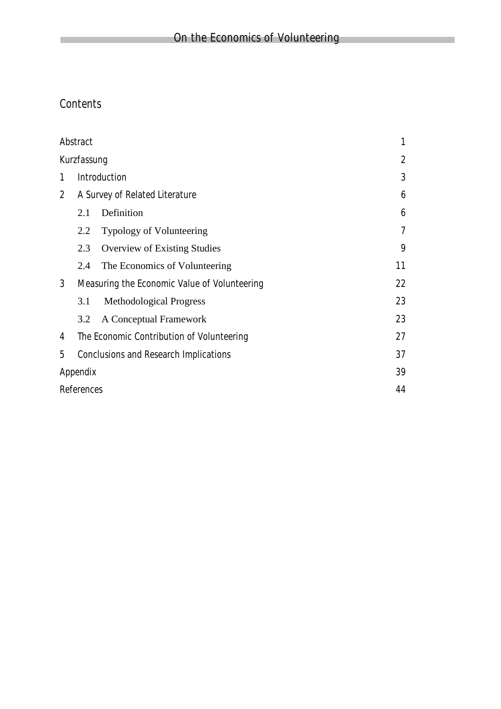and the control of the control of the

# Contents

|                                     | Abstract    |                                              | 1              |  |  |
|-------------------------------------|-------------|----------------------------------------------|----------------|--|--|
|                                     | Kurzfassung |                                              | 2              |  |  |
| 1                                   |             | Introduction                                 | 3              |  |  |
| 2<br>A Survey of Related Literature |             |                                              |                |  |  |
|                                     | 2.1         | Definition                                   | 6              |  |  |
|                                     | 2.2         | Typology of Volunteering                     | $\overline{7}$ |  |  |
|                                     | 2.3         | <b>Overview of Existing Studies</b>          | 9              |  |  |
|                                     | 2.4         | The Economics of Volunteering                | 11             |  |  |
| 3                                   |             | Measuring the Economic Value of Volunteering | 22             |  |  |
|                                     | 3.1         | <b>Methodological Progress</b>               | 23             |  |  |
|                                     | 3.2         | A Conceptual Framework                       | 23             |  |  |
| 4                                   |             | The Economic Contribution of Volunteering    | 27             |  |  |
| 5                                   |             | Conclusions and Research Implications        | 37             |  |  |
|                                     | Appendix    |                                              | 39             |  |  |
|                                     | References  |                                              | 44             |  |  |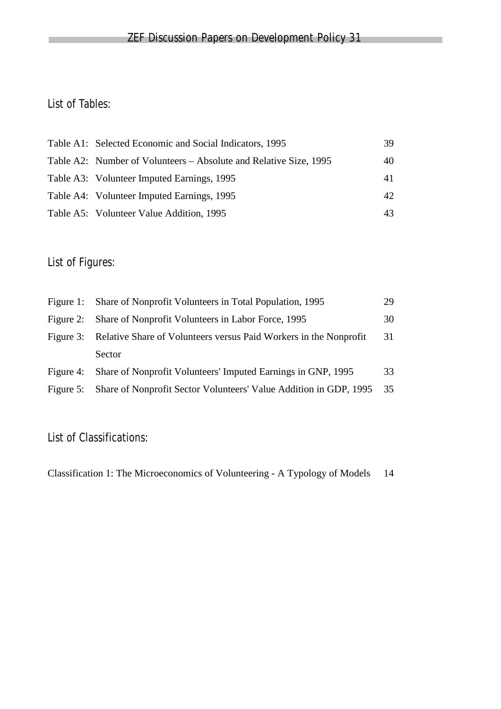# List of Tables:

| Table A1: Selected Economic and Social Indicators, 1995           | 39 |
|-------------------------------------------------------------------|----|
| Table A2: Number of Volunteers – Absolute and Relative Size, 1995 | 40 |
| Table A3: Volunteer Imputed Earnings, 1995                        | 41 |
| Table A4: Volunteer Imputed Earnings, 1995                        | 42 |
| Table A5: Volunteer Value Addition, 1995                          | 43 |

# List of Figures:

|           | Figure 1: Share of Nonprofit Volunteers in Total Population, 1995                 | 29 |  |  |  |
|-----------|-----------------------------------------------------------------------------------|----|--|--|--|
|           | Figure 2: Share of Nonprofit Volunteers in Labor Force, 1995                      | 30 |  |  |  |
|           | Figure 3: Relative Share of Volunteers versus Paid Workers in the Nonprofit<br>31 |    |  |  |  |
|           | Sector                                                                            |    |  |  |  |
| Figure 4: | Share of Nonprofit Volunteers' Imputed Earnings in GNP, 1995                      | 33 |  |  |  |
|           | Figure 5: Share of Nonprofit Sector Volunteers' Value Addition in GDP, 1995       | 35 |  |  |  |

# List of Classifications:

Classification 1: The Microeconomics of Volunteering - A Typology of Models 14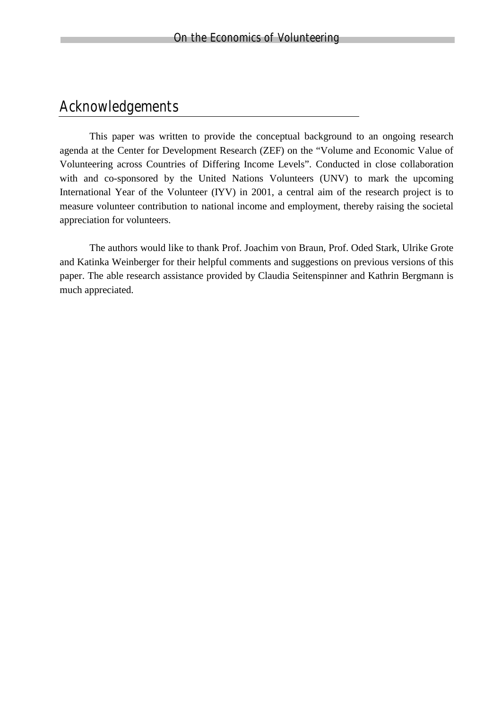# **Acknowledgements**

This paper was written to provide the conceptual background to an ongoing research agenda at the Center for Development Research (ZEF) on the "Volume and Economic Value of Volunteering across Countries of Differing Income Levels". Conducted in close collaboration with and co-sponsored by the United Nations Volunteers (UNV) to mark the upcoming International Year of the Volunteer (IYV) in 2001, a central aim of the research project is to measure volunteer contribution to national income and employment, thereby raising the societal appreciation for volunteers.

The authors would like to thank Prof. Joachim von Braun, Prof. Oded Stark, Ulrike Grote and Katinka Weinberger for their helpful comments and suggestions on previous versions of this paper. The able research assistance provided by Claudia Seitenspinner and Kathrin Bergmann is much appreciated.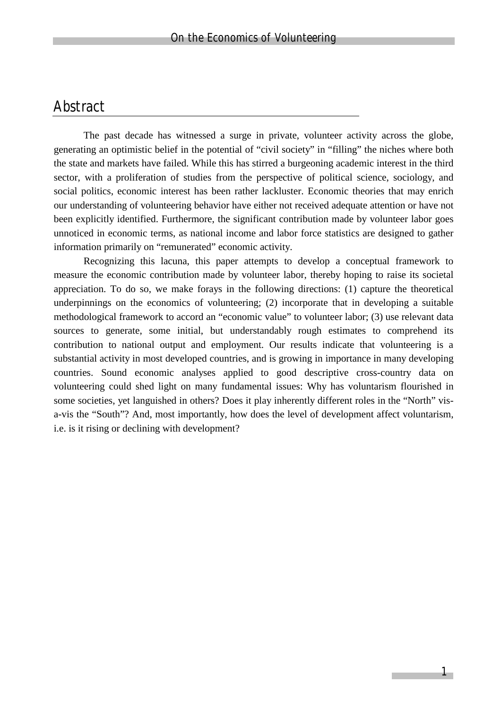# **Abstract**

The past decade has witnessed a surge in private, volunteer activity across the globe, generating an optimistic belief in the potential of "civil society" in "filling" the niches where both the state and markets have failed. While this has stirred a burgeoning academic interest in the third sector, with a proliferation of studies from the perspective of political science, sociology, and social politics, economic interest has been rather lackluster. Economic theories that may enrich our understanding of volunteering behavior have either not received adequate attention or have not been explicitly identified. Furthermore, the significant contribution made by volunteer labor goes unnoticed in economic terms, as national income and labor force statistics are designed to gather information primarily on "remunerated" economic activity.

Recognizing this lacuna, this paper attempts to develop a conceptual framework to measure the economic contribution made by volunteer labor, thereby hoping to raise its societal appreciation. To do so, we make forays in the following directions: (1) capture the theoretical underpinnings on the economics of volunteering; (2) incorporate that in developing a suitable methodological framework to accord an "economic value" to volunteer labor; (3) use relevant data sources to generate, some initial, but understandably rough estimates to comprehend its contribution to national output and employment. Our results indicate that volunteering is a substantial activity in most developed countries, and is growing in importance in many developing countries. Sound economic analyses applied to good descriptive cross-country data on volunteering could shed light on many fundamental issues: Why has voluntarism flourished in some societies, yet languished in others? Does it play inherently different roles in the "North" visa-vis the "South"? And, most importantly, how does the level of development affect voluntarism, i.e. is it rising or declining with development?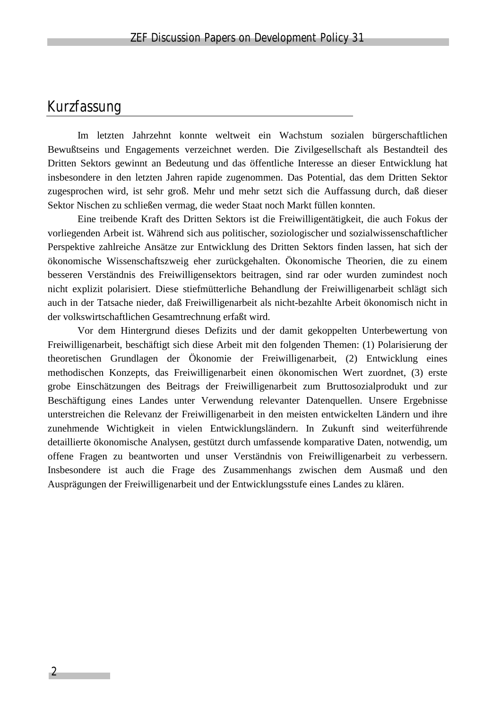# **Kurzfassung**

Im letzten Jahrzehnt konnte weltweit ein Wachstum sozialen bürgerschaftlichen Bewußtseins und Engagements verzeichnet werden. Die Zivilgesellschaft als Bestandteil des Dritten Sektors gewinnt an Bedeutung und das öffentliche Interesse an dieser Entwicklung hat insbesondere in den letzten Jahren rapide zugenommen. Das Potential, das dem Dritten Sektor zugesprochen wird, ist sehr groß. Mehr und mehr setzt sich die Auffassung durch, daß dieser Sektor Nischen zu schließen vermag, die weder Staat noch Markt füllen konnten.

Eine treibende Kraft des Dritten Sektors ist die Freiwilligentätigkeit, die auch Fokus der vorliegenden Arbeit ist. Während sich aus politischer, soziologischer und sozialwissenschaftlicher Perspektive zahlreiche Ansätze zur Entwicklung des Dritten Sektors finden lassen, hat sich der ökonomische Wissenschaftszweig eher zurückgehalten. Ökonomische Theorien, die zu einem besseren Verständnis des Freiwilligensektors beitragen, sind rar oder wurden zumindest noch nicht explizit polarisiert. Diese stiefmütterliche Behandlung der Freiwilligenarbeit schlägt sich auch in der Tatsache nieder, daß Freiwilligenarbeit als nicht-bezahlte Arbeit ökonomisch nicht in der volkswirtschaftlichen Gesamtrechnung erfaßt wird.

Vor dem Hintergrund dieses Defizits und der damit gekoppelten Unterbewertung von Freiwilligenarbeit, beschäftigt sich diese Arbeit mit den folgenden Themen: (1) Polarisierung der theoretischen Grundlagen der Ökonomie der Freiwilligenarbeit, (2) Entwicklung eines methodischen Konzepts, das Freiwilligenarbeit einen ökonomischen Wert zuordnet, (3) erste grobe Einschätzungen des Beitrags der Freiwilligenarbeit zum Bruttosozialprodukt und zur Beschäftigung eines Landes unter Verwendung relevanter Datenquellen. Unsere Ergebnisse unterstreichen die Relevanz der Freiwilligenarbeit in den meisten entwickelten Ländern und ihre zunehmende Wichtigkeit in vielen Entwicklungsländern. In Zukunft sind weiterführende detaillierte ökonomische Analysen, gestützt durch umfassende komparative Daten, notwendig, um offene Fragen zu beantworten und unser Verständnis von Freiwilligenarbeit zu verbessern. Insbesondere ist auch die Frage des Zusammenhangs zwischen dem Ausmaß und den Ausprägungen der Freiwilligenarbeit und der Entwicklungsstufe eines Landes zu klären.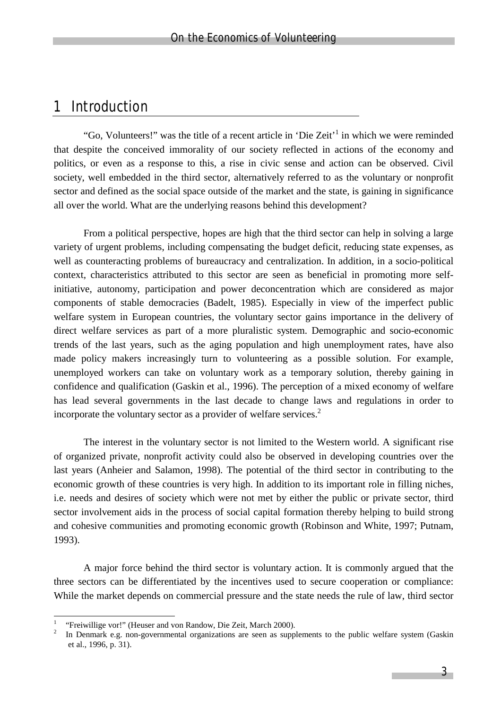# **1 Introduction**

"Go, Volunteers!" was the title of a recent article in 'Die Zeit'<sup>1</sup> in which we were reminded that despite the conceived immorality of our society reflected in actions of the economy and politics, or even as a response to this, a rise in civic sense and action can be observed. Civil society, well embedded in the third sector, alternatively referred to as the voluntary or nonprofit sector and defined as the social space outside of the market and the state, is gaining in significance all over the world. What are the underlying reasons behind this development?

From a political perspective, hopes are high that the third sector can help in solving a large variety of urgent problems, including compensating the budget deficit, reducing state expenses, as well as counteracting problems of bureaucracy and centralization. In addition, in a socio-political context, characteristics attributed to this sector are seen as beneficial in promoting more selfinitiative, autonomy, participation and power deconcentration which are considered as major components of stable democracies (Badelt, 1985). Especially in view of the imperfect public welfare system in European countries, the voluntary sector gains importance in the delivery of direct welfare services as part of a more pluralistic system. Demographic and socio-economic trends of the last years, such as the aging population and high unemployment rates, have also made policy makers increasingly turn to volunteering as a possible solution. For example, unemployed workers can take on voluntary work as a temporary solution, thereby gaining in confidence and qualification (Gaskin et al., 1996). The perception of a mixed economy of welfare has lead several governments in the last decade to change laws and regulations in order to incorporate the voluntary sector as a provider of welfare services.<sup>2</sup>

The interest in the voluntary sector is not limited to the Western world. A significant rise of organized private, nonprofit activity could also be observed in developing countries over the last years (Anheier and Salamon, 1998). The potential of the third sector in contributing to the economic growth of these countries is very high. In addition to its important role in filling niches, i.e. needs and desires of society which were not met by either the public or private sector, third sector involvement aids in the process of social capital formation thereby helping to build strong and cohesive communities and promoting economic growth (Robinson and White, 1997; Putnam, 1993).

A major force behind the third sector is voluntary action. It is commonly argued that the three sectors can be differentiated by the incentives used to secure cooperation or compliance: While the market depends on commercial pressure and the state needs the rule of law, third sector

l

<sup>1</sup> "Freiwillige vor!" (Heuser and von Randow, Die Zeit, March 2000).

<sup>2</sup> In Denmark e.g. non-governmental organizations are seen as supplements to the public welfare system (Gaskin et al., 1996, p. 31).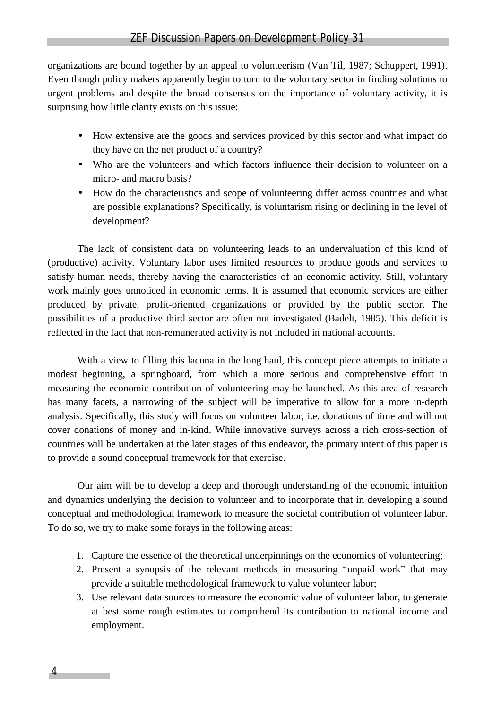organizations are bound together by an appeal to volunteerism (Van Til, 1987; Schuppert, 1991). Even though policy makers apparently begin to turn to the voluntary sector in finding solutions to urgent problems and despite the broad consensus on the importance of voluntary activity, it is surprising how little clarity exists on this issue:

- How extensive are the goods and services provided by this sector and what impact do they have on the net product of a country?
- Who are the volunteers and which factors influence their decision to volunteer on a micro- and macro basis?
- How do the characteristics and scope of volunteering differ across countries and what are possible explanations? Specifically, is voluntarism rising or declining in the level of development?

The lack of consistent data on volunteering leads to an undervaluation of this kind of (productive) activity. Voluntary labor uses limited resources to produce goods and services to satisfy human needs, thereby having the characteristics of an economic activity. Still, voluntary work mainly goes unnoticed in economic terms. It is assumed that economic services are either produced by private, profit-oriented organizations or provided by the public sector. The possibilities of a productive third sector are often not investigated (Badelt, 1985). This deficit is reflected in the fact that non-remunerated activity is not included in national accounts.

With a view to filling this lacuna in the long haul, this concept piece attempts to initiate a modest beginning, a springboard, from which a more serious and comprehensive effort in measuring the economic contribution of volunteering may be launched. As this area of research has many facets, a narrowing of the subject will be imperative to allow for a more in-depth analysis. Specifically, this study will focus on volunteer labor, i.e. donations of time and will not cover donations of money and in-kind. While innovative surveys across a rich cross-section of countries will be undertaken at the later stages of this endeavor, the primary intent of this paper is to provide a sound conceptual framework for that exercise.

Our aim will be to develop a deep and thorough understanding of the economic intuition and dynamics underlying the decision to volunteer and to incorporate that in developing a sound conceptual and methodological framework to measure the societal contribution of volunteer labor. To do so, we try to make some forays in the following areas:

- 1. Capture the essence of the theoretical underpinnings on the economics of volunteering;
- 2. Present a synopsis of the relevant methods in measuring "unpaid work" that may provide a suitable methodological framework to value volunteer labor;
- 3. Use relevant data sources to measure the economic value of volunteer labor, to generate at best some rough estimates to comprehend its contribution to national income and employment.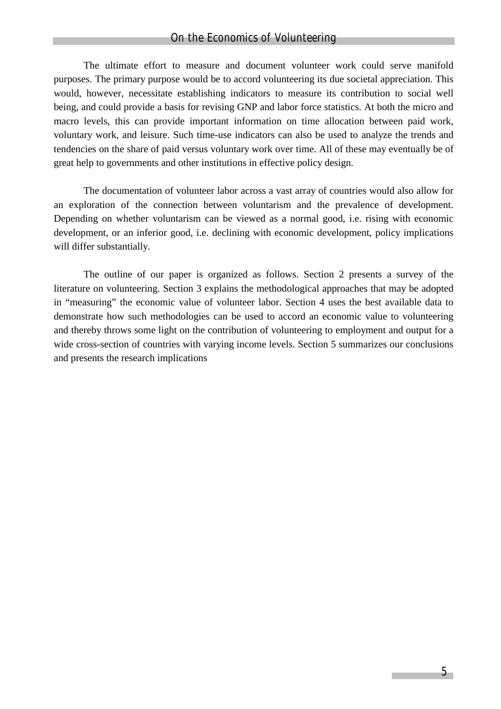#### **On the Economics of Volunteering**

The ultimate effort to measure and document volunteer work could serve manifold purposes. The primary purpose would be to accord volunteering its due societal appreciation. This would, however, necessitate establishing indicators to measure its contribution to social well being, and could provide a basis for revising GNP and labor force statistics. At both the micro and macro levels, this can provide important information on time allocation between paid work, voluntary work, and leisure. Such time-use indicators can also be used to analyze the trends and tendencies on the share of paid versus voluntary work over time. All of these may eventually be of great help to governments and other institutions in effective policy design.

The documentation of volunteer labor across a vast array of countries would also allow for an exploration of the connection between voluntarism and the prevalence of development. Depending on whether voluntarism can be viewed as a normal good, i.e. rising with economic development, or an inferior good, i.e. declining with economic development, policy implications will differ substantially.

The outline of our paper is organized as follows. Section 2 presents a survey of the literature on volunteering. Section 3 explains the methodological approaches that may be adopted in "measuring" the economic value of volunteer labor. Section 4 uses the best available data to demonstrate how such methodologies can be used to accord an economic value to volunteering and thereby throws some light on the contribution of volunteering to employment and output for a wide cross-section of countries with varying income levels. Section 5 summarizes our conclusions and presents the research implications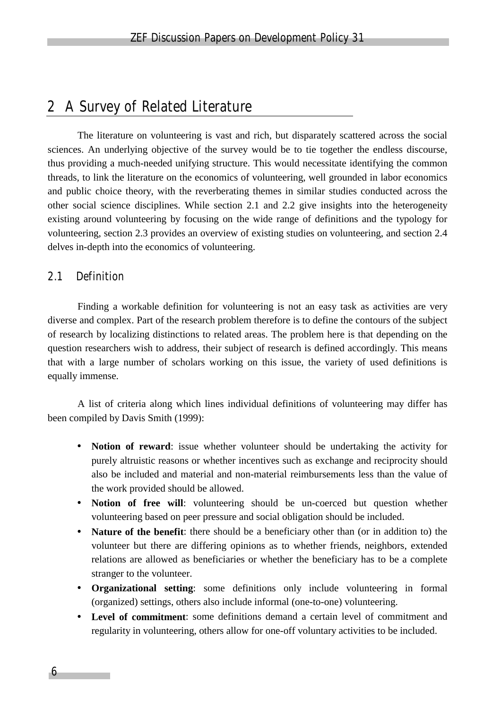# **2 A Survey of Related Literature**

The literature on volunteering is vast and rich, but disparately scattered across the social sciences. An underlying objective of the survey would be to tie together the endless discourse, thus providing a much-needed unifying structure. This would necessitate identifying the common threads, to link the literature on the economics of volunteering, well grounded in labor economics and public choice theory, with the reverberating themes in similar studies conducted across the other social science disciplines. While section 2.1 and 2.2 give insights into the heterogeneity existing around volunteering by focusing on the wide range of definitions and the typology for volunteering, section 2.3 provides an overview of existing studies on volunteering, and section 2.4 delves in-depth into the economics of volunteering.

#### **2.1 Definition**

Finding a workable definition for volunteering is not an easy task as activities are very diverse and complex. Part of the research problem therefore is to define the contours of the subject of research by localizing distinctions to related areas. The problem here is that depending on the question researchers wish to address, their subject of research is defined accordingly. This means that with a large number of scholars working on this issue, the variety of used definitions is equally immense.

A list of criteria along which lines individual definitions of volunteering may differ has been compiled by Davis Smith (1999):

- **Notion of reward**: issue whether volunteer should be undertaking the activity for purely altruistic reasons or whether incentives such as exchange and reciprocity should also be included and material and non-material reimbursements less than the value of the work provided should be allowed.
- **Notion of free will**: volunteering should be un-coerced but question whether volunteering based on peer pressure and social obligation should be included.
- **Nature of the benefit**: there should be a beneficiary other than (or in addition to) the volunteer but there are differing opinions as to whether friends, neighbors, extended relations are allowed as beneficiaries or whether the beneficiary has to be a complete stranger to the volunteer.
- **Organizational setting**: some definitions only include volunteering in formal (organized) settings, others also include informal (one-to-one) volunteering.
- **Level of commitment**: some definitions demand a certain level of commitment and regularity in volunteering, others allow for one-off voluntary activities to be included.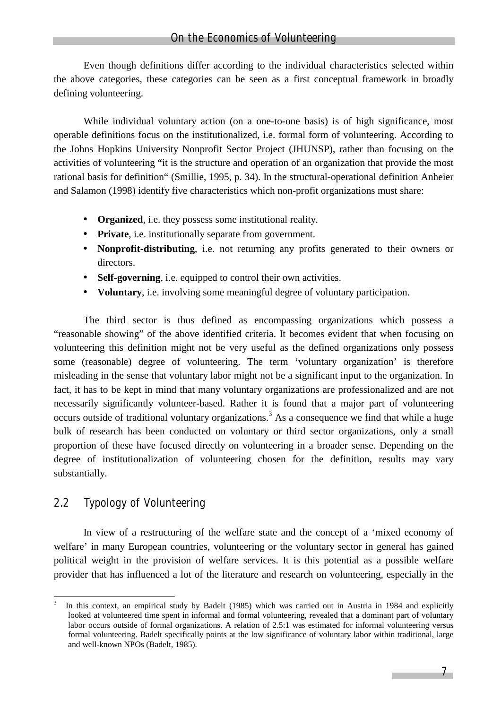#### **On the Economics of Volunteering**

Even though definitions differ according to the individual characteristics selected within the above categories, these categories can be seen as a first conceptual framework in broadly defining volunteering.

While individual voluntary action (on a one-to-one basis) is of high significance, most operable definitions focus on the institutionalized, i.e. formal form of volunteering. According to the Johns Hopkins University Nonprofit Sector Project (JHUNSP), rather than focusing on the activities of volunteering "it is the structure and operation of an organization that provide the most rational basis for definition" (Smillie, 1995, p. 34). In the structural-operational definition Anheier and Salamon (1998) identify five characteristics which non-profit organizations must share:

- **Organized**, i.e. they possess some institutional reality.
- **Private**, i.e. institutionally separate from government.
- **Nonprofit-distributing**, i.e. not returning any profits generated to their owners or directors.
- **Self-governing**, i.e. equipped to control their own activities.
- **Voluntary**, i.e. involving some meaningful degree of voluntary participation.

The third sector is thus defined as encompassing organizations which possess a "reasonable showing" of the above identified criteria. It becomes evident that when focusing on volunteering this definition might not be very useful as the defined organizations only possess some (reasonable) degree of volunteering. The term 'voluntary organization' is therefore misleading in the sense that voluntary labor might not be a significant input to the organization. In fact, it has to be kept in mind that many voluntary organizations are professionalized and are not necessarily significantly volunteer-based. Rather it is found that a major part of volunteering occurs outside of traditional voluntary organizations.<sup>3</sup> As a consequence we find that while a huge bulk of research has been conducted on voluntary or third sector organizations, only a small proportion of these have focused directly on volunteering in a broader sense. Depending on the degree of institutionalization of volunteering chosen for the definition, results may vary substantially.

## **2.2 Typology of Volunteering**

In view of a restructuring of the welfare state and the concept of a 'mixed economy of welfare' in many European countries, volunteering or the voluntary sector in general has gained political weight in the provision of welfare services. It is this potential as a possible welfare provider that has influenced a lot of the literature and research on volunteering, especially in the

 3 In this context, an empirical study by Badelt (1985) which was carried out in Austria in 1984 and explicitly looked at volunteered time spent in informal and formal volunteering, revealed that a dominant part of voluntary labor occurs outside of formal organizations. A relation of 2.5:1 was estimated for informal volunteering versus formal volunteering. Badelt specifically points at the low significance of voluntary labor within traditional, large and well-known NPOs (Badelt, 1985).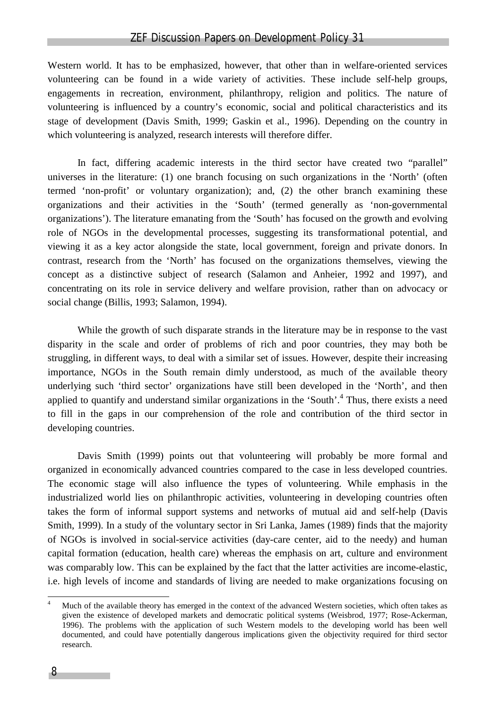Western world. It has to be emphasized, however, that other than in welfare-oriented services volunteering can be found in a wide variety of activities. These include self-help groups, engagements in recreation, environment, philanthropy, religion and politics. The nature of volunteering is influenced by a country's economic, social and political characteristics and its stage of development (Davis Smith, 1999; Gaskin et al., 1996). Depending on the country in which volunteering is analyzed, research interests will therefore differ.

In fact, differing academic interests in the third sector have created two "parallel" universes in the literature: (1) one branch focusing on such organizations in the 'North' (often termed 'non-profit' or voluntary organization); and, (2) the other branch examining these organizations and their activities in the 'South' (termed generally as 'non-governmental organizations'). The literature emanating from the 'South' has focused on the growth and evolving role of NGOs in the developmental processes, suggesting its transformational potential, and viewing it as a key actor alongside the state, local government, foreign and private donors. In contrast, research from the 'North' has focused on the organizations themselves, viewing the concept as a distinctive subject of research (Salamon and Anheier, 1992 and 1997), and concentrating on its role in service delivery and welfare provision, rather than on advocacy or social change (Billis, 1993; Salamon, 1994).

While the growth of such disparate strands in the literature may be in response to the vast disparity in the scale and order of problems of rich and poor countries, they may both be struggling, in different ways, to deal with a similar set of issues. However, despite their increasing importance, NGOs in the South remain dimly understood, as much of the available theory underlying such 'third sector' organizations have still been developed in the 'North', and then applied to quantify and understand similar organizations in the 'South'.<sup>4</sup> Thus, there exists a need to fill in the gaps in our comprehension of the role and contribution of the third sector in developing countries.

Davis Smith (1999) points out that volunteering will probably be more formal and organized in economically advanced countries compared to the case in less developed countries. The economic stage will also influence the types of volunteering. While emphasis in the industrialized world lies on philanthropic activities, volunteering in developing countries often takes the form of informal support systems and networks of mutual aid and self-help (Davis Smith, 1999). In a study of the voluntary sector in Sri Lanka, James (1989) finds that the majority of NGOs is involved in social-service activities (day-care center, aid to the needy) and human capital formation (education, health care) whereas the emphasis on art, culture and environment was comparably low. This can be explained by the fact that the latter activities are income-elastic, i.e. high levels of income and standards of living are needed to make organizations focusing on

 $\overline{a}$ 

<sup>4</sup> Much of the available theory has emerged in the context of the advanced Western societies, which often takes as given the existence of developed markets and democratic political systems (Weisbrod, 1977; Rose-Ackerman, 1996). The problems with the application of such Western models to the developing world has been well documented, and could have potentially dangerous implications given the objectivity required for third sector research.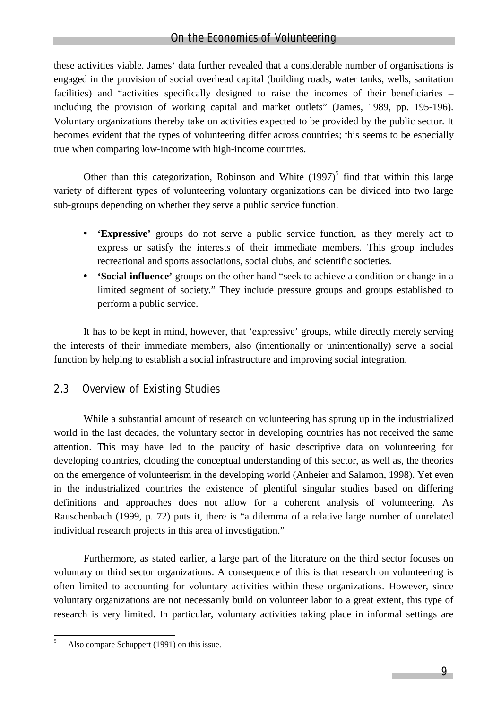these activities viable. James' data further revealed that a considerable number of organisations is engaged in the provision of social overhead capital (building roads, water tanks, wells, sanitation facilities) and "activities specifically designed to raise the incomes of their beneficiaries – including the provision of working capital and market outlets" (James, 1989, pp. 195-196). Voluntary organizations thereby take on activities expected to be provided by the public sector. It becomes evident that the types of volunteering differ across countries; this seems to be especially true when comparing low-income with high-income countries.

Other than this categorization, Robinson and White  $(1997)^5$  find that within this large variety of different types of volunteering voluntary organizations can be divided into two large sub-groups depending on whether they serve a public service function.

- **Expressive**' groups do not serve a public service function, as they merely act to express or satisfy the interests of their immediate members. This group includes recreational and sports associations, social clubs, and scientific societies.
- **'Social influence'** groups on the other hand "seek to achieve a condition or change in a limited segment of society." They include pressure groups and groups established to perform a public service.

It has to be kept in mind, however, that 'expressive' groups, while directly merely serving the interests of their immediate members, also (intentionally or unintentionally) serve a social function by helping to establish a social infrastructure and improving social integration.

# **2.3 Overview of Existing Studies**

While a substantial amount of research on volunteering has sprung up in the industrialized world in the last decades, the voluntary sector in developing countries has not received the same attention. This may have led to the paucity of basic descriptive data on volunteering for developing countries, clouding the conceptual understanding of this sector, as well as, the theories on the emergence of volunteerism in the developing world (Anheier and Salamon, 1998). Yet even in the industrialized countries the existence of plentiful singular studies based on differing definitions and approaches does not allow for a coherent analysis of volunteering. As Rauschenbach (1999, p. 72) puts it, there is "a dilemma of a relative large number of unrelated individual research projects in this area of investigation."

Furthermore, as stated earlier, a large part of the literature on the third sector focuses on voluntary or third sector organizations. A consequence of this is that research on volunteering is often limited to accounting for voluntary activities within these organizations. However, since voluntary organizations are not necessarily build on volunteer labor to a great extent, this type of research is very limited. In particular, voluntary activities taking place in informal settings are

 5 Also compare Schuppert (1991) on this issue.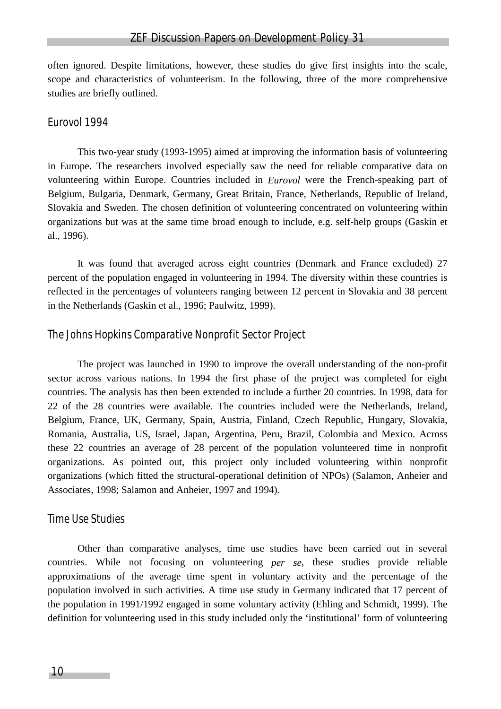often ignored. Despite limitations, however, these studies do give first insights into the scale, scope and characteristics of volunteerism. In the following, three of the more comprehensive studies are briefly outlined.

#### *Eurovol 1994*

This two-year study (1993-1995) aimed at improving the information basis of volunteering in Europe. The researchers involved especially saw the need for reliable comparative data on volunteering within Europe. Countries included in *Eurovol* were the French-speaking part of Belgium, Bulgaria, Denmark, Germany, Great Britain, France, Netherlands, Republic of Ireland, Slovakia and Sweden. The chosen definition of volunteering concentrated on volunteering within organizations but was at the same time broad enough to include, e.g. self-help groups (Gaskin et al., 1996).

It was found that averaged across eight countries (Denmark and France excluded) 27 percent of the population engaged in volunteering in 1994. The diversity within these countries is reflected in the percentages of volunteers ranging between 12 percent in Slovakia and 38 percent in the Netherlands (Gaskin et al., 1996; Paulwitz, 1999).

#### *The Johns Hopkins Comparative Nonprofit Sector Project*

The project was launched in 1990 to improve the overall understanding of the non-profit sector across various nations. In 1994 the first phase of the project was completed for eight countries. The analysis has then been extended to include a further 20 countries. In 1998, data for 22 of the 28 countries were available. The countries included were the Netherlands, Ireland, Belgium, France, UK, Germany, Spain, Austria, Finland, Czech Republic, Hungary, Slovakia, Romania, Australia, US, Israel, Japan, Argentina, Peru, Brazil, Colombia and Mexico. Across these 22 countries an average of 28 percent of the population volunteered time in nonprofit organizations. As pointed out, this project only included volunteering within nonprofit organizations (which fitted the structural-operational definition of NPOs) (Salamon, Anheier and Associates, 1998; Salamon and Anheier, 1997 and 1994).

#### *Time Use Studies*

Other than comparative analyses, time use studies have been carried out in several countries. While not focusing on volunteering *per se*, these studies provide reliable approximations of the average time spent in voluntary activity and the percentage of the population involved in such activities. A time use study in Germany indicated that 17 percent of the population in 1991/1992 engaged in some voluntary activity (Ehling and Schmidt, 1999). The definition for volunteering used in this study included only the 'institutional' form of volunteering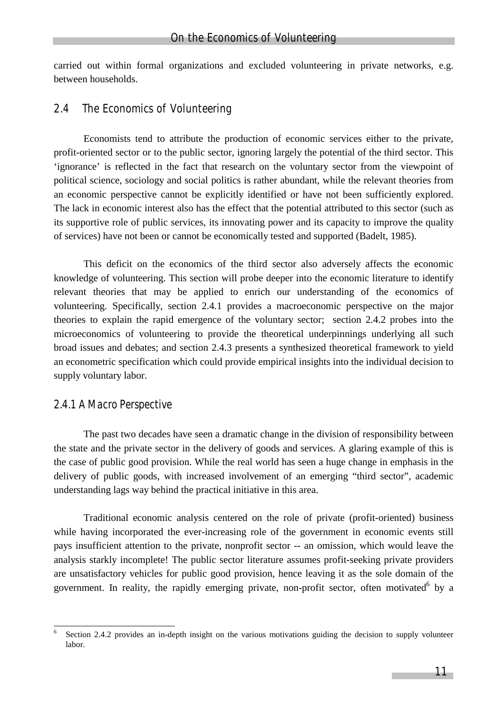carried out within formal organizations and excluded volunteering in private networks, e.g. between households.

## **2.4 The Economics of Volunteering**

Economists tend to attribute the production of economic services either to the private, profit-oriented sector or to the public sector, ignoring largely the potential of the third sector. This 'ignorance' is reflected in the fact that research on the voluntary sector from the viewpoint of political science, sociology and social politics is rather abundant, while the relevant theories from an economic perspective cannot be explicitly identified or have not been sufficiently explored. The lack in economic interest also has the effect that the potential attributed to this sector (such as its supportive role of public services, its innovating power and its capacity to improve the quality of services) have not been or cannot be economically tested and supported (Badelt, 1985).

This deficit on the economics of the third sector also adversely affects the economic knowledge of volunteering. This section will probe deeper into the economic literature to identify relevant theories that may be applied to enrich our understanding of the economics of volunteering. Specifically, section 2.4.1 provides a macroeconomic perspective on the major theories to explain the rapid emergence of the voluntary sector; section 2.4.2 probes into the microeconomics of volunteering to provide the theoretical underpinnings underlying all such broad issues and debates; and section 2.4.3 presents a synthesized theoretical framework to yield an econometric specification which could provide empirical insights into the individual decision to supply voluntary labor.

#### *2.4.1 A Macro Perspective*

The past two decades have seen a dramatic change in the division of responsibility between the state and the private sector in the delivery of goods and services. A glaring example of this is the case of public good provision. While the real world has seen a huge change in emphasis in the delivery of public goods, with increased involvement of an emerging "third sector", academic understanding lags way behind the practical initiative in this area.

Traditional economic analysis centered on the role of private (profit-oriented) business while having incorporated the ever-increasing role of the government in economic events still pays insufficient attention to the private, nonprofit sector -- an omission, which would leave the analysis starkly incomplete! The public sector literature assumes profit-seeking private providers are unsatisfactory vehicles for public good provision, hence leaving it as the sole domain of the government. In reality, the rapidly emerging private, non-profit sector, often motivated<sup>6</sup> by a

 6 Section 2.4.2 provides an in-depth insight on the various motivations guiding the decision to supply volunteer labor.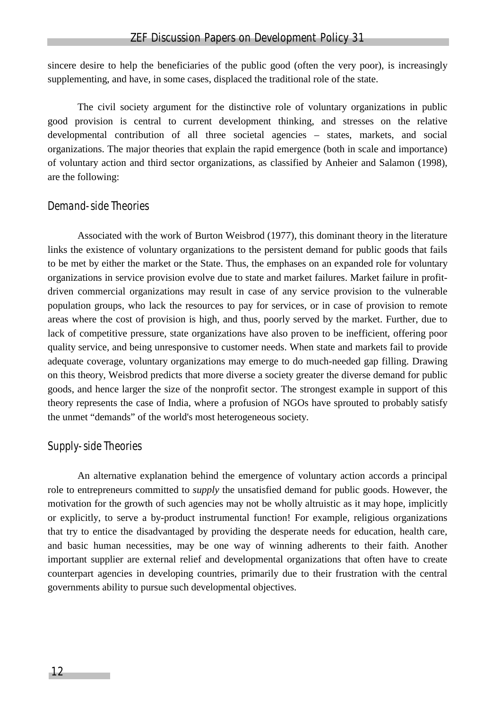sincere desire to help the beneficiaries of the public good (often the very poor), is increasingly supplementing, and have, in some cases, displaced the traditional role of the state.

The civil society argument for the distinctive role of voluntary organizations in public good provision is central to current development thinking, and stresses on the relative developmental contribution of all three societal agencies – states, markets, and social organizations. The major theories that explain the rapid emergence (both in scale and importance) of voluntary action and third sector organizations, as classified by Anheier and Salamon (1998), are the following:

#### *Demand-side Theories*

Associated with the work of Burton Weisbrod (1977), this dominant theory in the literature links the existence of voluntary organizations to the persistent demand for public goods that fails to be met by either the market or the State. Thus, the emphases on an expanded role for voluntary organizations in service provision evolve due to state and market failures. Market failure in profitdriven commercial organizations may result in case of any service provision to the vulnerable population groups, who lack the resources to pay for services, or in case of provision to remote areas where the cost of provision is high, and thus, poorly served by the market. Further, due to lack of competitive pressure, state organizations have also proven to be inefficient, offering poor quality service, and being unresponsive to customer needs. When state and markets fail to provide adequate coverage, voluntary organizations may emerge to do much-needed gap filling. Drawing on this theory, Weisbrod predicts that more diverse a society greater the diverse demand for public goods, and hence larger the size of the nonprofit sector. The strongest example in support of this theory represents the case of India, where a profusion of NGOs have sprouted to probably satisfy the unmet "demands" of the world's most heterogeneous society.

#### *Supply-side Theories*

An alternative explanation behind the emergence of voluntary action accords a principal role to entrepreneurs committed to *supply* the unsatisfied demand for public goods. However, the motivation for the growth of such agencies may not be wholly altruistic as it may hope, implicitly or explicitly, to serve a by-product instrumental function! For example, religious organizations that try to entice the disadvantaged by providing the desperate needs for education, health care, and basic human necessities, may be one way of winning adherents to their faith. Another important supplier are external relief and developmental organizations that often have to create counterpart agencies in developing countries, primarily due to their frustration with the central governments ability to pursue such developmental objectives.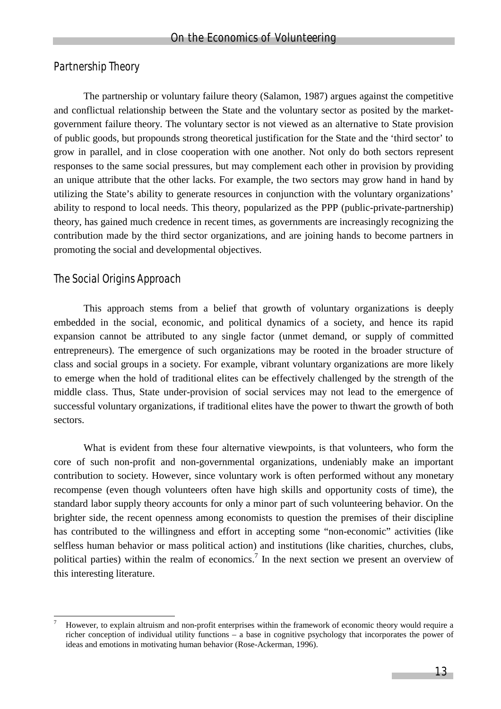## *Partnership Theory*

The partnership or voluntary failure theory (Salamon, 1987) argues against the competitive and conflictual relationship between the State and the voluntary sector as posited by the marketgovernment failure theory. The voluntary sector is not viewed as an alternative to State provision of public goods, but propounds strong theoretical justification for the State and the 'third sector' to grow in parallel, and in close cooperation with one another. Not only do both sectors represent responses to the same social pressures, but may complement each other in provision by providing an unique attribute that the other lacks. For example, the two sectors may grow hand in hand by utilizing the State's ability to generate resources in conjunction with the voluntary organizations' ability to respond to local needs. This theory, popularized as the PPP (public-private-partnership) theory, has gained much credence in recent times, as governments are increasingly recognizing the contribution made by the third sector organizations, and are joining hands to become partners in promoting the social and developmental objectives.

#### *The Social Origins Approach*

l

This approach stems from a belief that growth of voluntary organizations is deeply embedded in the social, economic, and political dynamics of a society, and hence its rapid expansion cannot be attributed to any single factor (unmet demand, or supply of committed entrepreneurs). The emergence of such organizations may be rooted in the broader structure of class and social groups in a society. For example, vibrant voluntary organizations are more likely to emerge when the hold of traditional elites can be effectively challenged by the strength of the middle class. Thus, State under-provision of social services may not lead to the emergence of successful voluntary organizations, if traditional elites have the power to thwart the growth of both sectors.

What is evident from these four alternative viewpoints, is that volunteers, who form the core of such non-profit and non-governmental organizations, undeniably make an important contribution to society. However, since voluntary work is often performed without any monetary recompense (even though volunteers often have high skills and opportunity costs of time), the standard labor supply theory accounts for only a minor part of such volunteering behavior. On the brighter side, the recent openness among economists to question the premises of their discipline has contributed to the willingness and effort in accepting some "non-economic" activities (like selfless human behavior or mass political action) and institutions (like charities, churches, clubs, political parties) within the realm of economics.<sup>7</sup> In the next section we present an overview of this interesting literature.

<sup>7</sup> However, to explain altruism and non-profit enterprises within the framework of economic theory would require a richer conception of individual utility functions – a base in cognitive psychology that incorporates the power of ideas and emotions in motivating human behavior (Rose-Ackerman, 1996).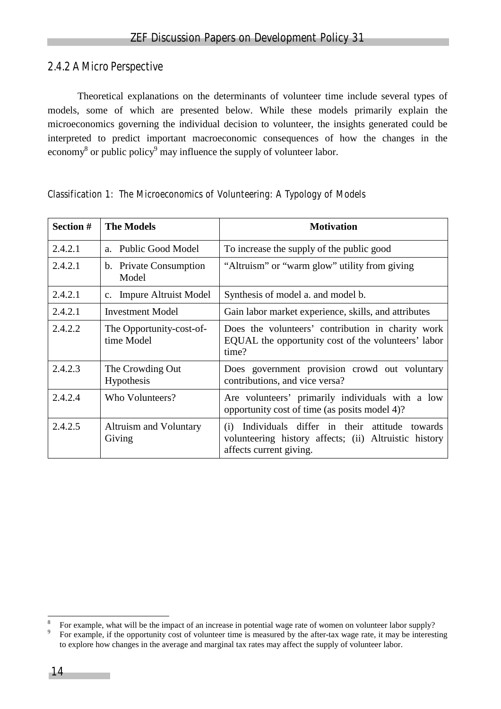## *2.4.2 A Micro Perspective*

Theoretical explanations on the determinants of volunteer time include several types of models, some of which are presented below. While these models primarily explain the microeconomics governing the individual decision to volunteer, the insights generated could be interpreted to predict important macroeconomic consequences of how the changes in the economy<sup>8</sup> or public policy<sup>9</sup> may influence the supply of volunteer labor.

| Section # | <b>The Models</b>                                                                                                                                           | <b>Motivation</b>                                                                                                                       |  |  |
|-----------|-------------------------------------------------------------------------------------------------------------------------------------------------------------|-----------------------------------------------------------------------------------------------------------------------------------------|--|--|
| 2.4.2.1   | a. Public Good Model                                                                                                                                        | To increase the supply of the public good                                                                                               |  |  |
| 2.4.2.1   | b. Private Consumption<br>Model                                                                                                                             | "Altruism" or "warm glow" utility from giving                                                                                           |  |  |
| 2.4.2.1   | c. Impure Altruist Model                                                                                                                                    | Synthesis of model a. and model b.                                                                                                      |  |  |
| 2.4.2.1   | <b>Investment Model</b>                                                                                                                                     | Gain labor market experience, skills, and attributes                                                                                    |  |  |
| 2.4.2.2   | The Opportunity-cost-of-<br>Does the volunteers' contribution in charity work<br>time Model<br>EQUAL the opportunity cost of the volunteers' labor<br>time? |                                                                                                                                         |  |  |
| 2.4.2.3   | The Crowding Out<br>Hypothesis                                                                                                                              | Does government provision crowd out voluntary<br>contributions, and vice versa?                                                         |  |  |
| 2.4.2.4   | Who Volunteers?                                                                                                                                             | Are volunteers' primarily individuals with a low<br>opportunity cost of time (as posits model 4)?                                       |  |  |
| 2.4.2.5   | Altruism and Voluntary<br>Giving                                                                                                                            | Individuals differ in their attitude towards<br>(i)<br>volunteering history affects; (ii) Altruistic history<br>affects current giving. |  |  |

#### **Classification 1: The Microeconomics of Volunteering: A Typology of Models**

 8 For example, what will be the impact of an increase in potential wage rate of women on volunteer labor supply?

<sup>9</sup> For example, if the opportunity cost of volunteer time is measured by the after-tax wage rate, it may be interesting to explore how changes in the average and marginal tax rates may affect the supply of volunteer labor.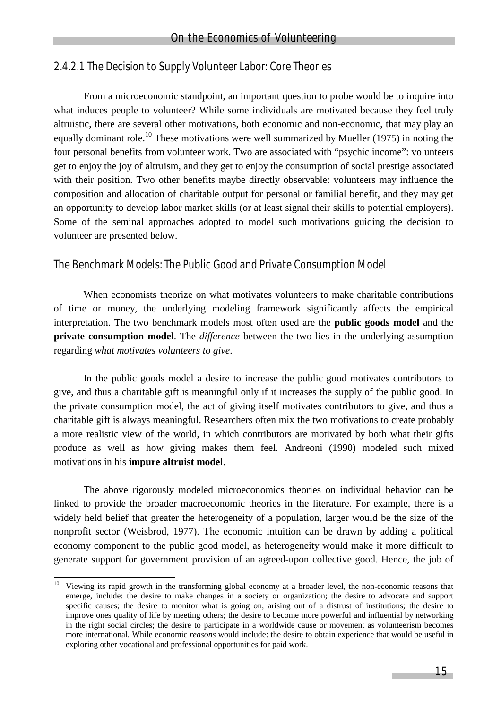## *2.4.2.1 The Decision to Supply Volunteer Labor: Core Theories*

From a microeconomic standpoint, an important question to probe would be to inquire into what induces people to volunteer? While some individuals are motivated because they feel truly altruistic, there are several other motivations, both economic and non-economic, that may play an equally dominant role.<sup>10</sup> These motivations were well summarized by Mueller (1975) in noting the four personal benefits from volunteer work. Two are associated with "psychic income": volunteers get to enjoy the joy of altruism, and they get to enjoy the consumption of social prestige associated with their position. Two other benefits maybe directly observable: volunteers may influence the composition and allocation of charitable output for personal or familial benefit, and they may get an opportunity to develop labor market skills (or at least signal their skills to potential employers). Some of the seminal approaches adopted to model such motivations guiding the decision to volunteer are presented below.

#### *The Benchmark Models: The Public Good and Private Consumption Model*

When economists theorize on what motivates volunteers to make charitable contributions of time or money, the underlying modeling framework significantly affects the empirical interpretation. The two benchmark models most often used are the **public goods model** and the **private consumption model**. The *difference* between the two lies in the underlying assumption regarding *what motivates volunteers to give*.

In the public goods model a desire to increase the public good motivates contributors to give, and thus a charitable gift is meaningful only if it increases the supply of the public good. In the private consumption model, the act of giving itself motivates contributors to give, and thus a charitable gift is always meaningful. Researchers often mix the two motivations to create probably a more realistic view of the world, in which contributors are motivated by both what their gifts produce as well as how giving makes them feel. Andreoni (1990) modeled such mixed motivations in his **impure altruist model**.

The above rigorously modeled microeconomics theories on individual behavior can be linked to provide the broader macroeconomic theories in the literature. For example, there is a widely held belief that greater the heterogeneity of a population, larger would be the size of the nonprofit sector (Weisbrod, 1977). The economic intuition can be drawn by adding a political economy component to the public good model, as heterogeneity would make it more difficult to generate support for government provision of an agreed-upon collective good. Hence, the job of

l

<sup>10</sup> Viewing its rapid growth in the transforming global economy at a broader level, the non-economic reasons that emerge, include: the desire to make changes in a society or organization; the desire to advocate and support specific causes; the desire to monitor what is going on, arising out of a distrust of institutions; the desire to improve ones quality of life by meeting others; the desire to become more powerful and influential by networking in the right social circles; the desire to participate in a worldwide cause or movement as volunteerism becomes more international. While economic *reasons* would include: the desire to obtain experience that would be useful in exploring other vocational and professional opportunities for paid work.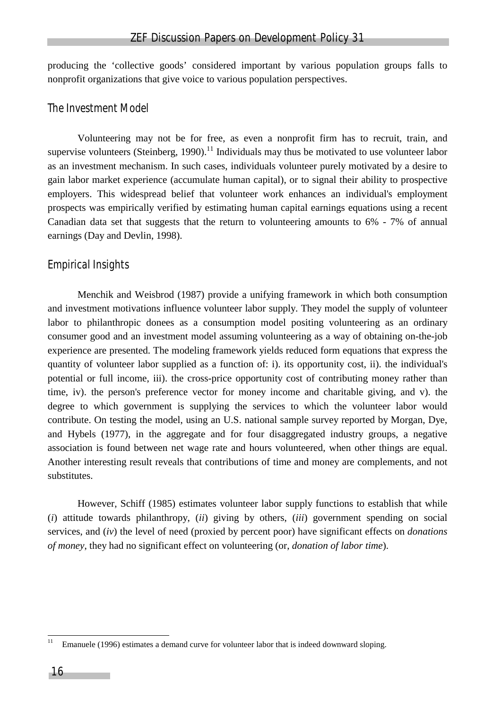producing the 'collective goods' considered important by various population groups falls to nonprofit organizations that give voice to various population perspectives.

#### *The Investment Model*

Volunteering may not be for free, as even a nonprofit firm has to recruit, train, and supervise volunteers (Steinberg, 1990).<sup>11</sup> Individuals may thus be motivated to use volunteer labor as an investment mechanism. In such cases, individuals volunteer purely motivated by a desire to gain labor market experience (accumulate human capital), or to signal their ability to prospective employers. This widespread belief that volunteer work enhances an individual's employment prospects was empirically verified by estimating human capital earnings equations using a recent Canadian data set that suggests that the return to volunteering amounts to 6% - 7% of annual earnings (Day and Devlin, 1998).

#### *Empirical Insights*

Menchik and Weisbrod (1987) provide a unifying framework in which both consumption and investment motivations influence volunteer labor supply. They model the supply of volunteer labor to philanthropic donees as a consumption model positing volunteering as an ordinary consumer good and an investment model assuming volunteering as a way of obtaining on-the-job experience are presented. The modeling framework yields reduced form equations that express the quantity of volunteer labor supplied as a function of: i). its opportunity cost, ii). the individual's potential or full income, iii). the cross-price opportunity cost of contributing money rather than time, iv). the person's preference vector for money income and charitable giving, and v). the degree to which government is supplying the services to which the volunteer labor would contribute. On testing the model, using an U.S. national sample survey reported by Morgan, Dye, and Hybels (1977), in the aggregate and for four disaggregated industry groups, a negative association is found between net wage rate and hours volunteered, when other things are equal. Another interesting result reveals that contributions of time and money are complements, and not substitutes.

However, Schiff (1985) estimates volunteer labor supply functions to establish that while (*i*) attitude towards philanthropy, (*ii*) giving by others, (*iii*) government spending on social services, and (*iv*) the level of need (proxied by percent poor) have significant effects on *donations of money*, they had no significant effect on volunteering (or, *donation of labor time*).

 $11$ Emanuele (1996) estimates a demand curve for volunteer labor that is indeed downward sloping.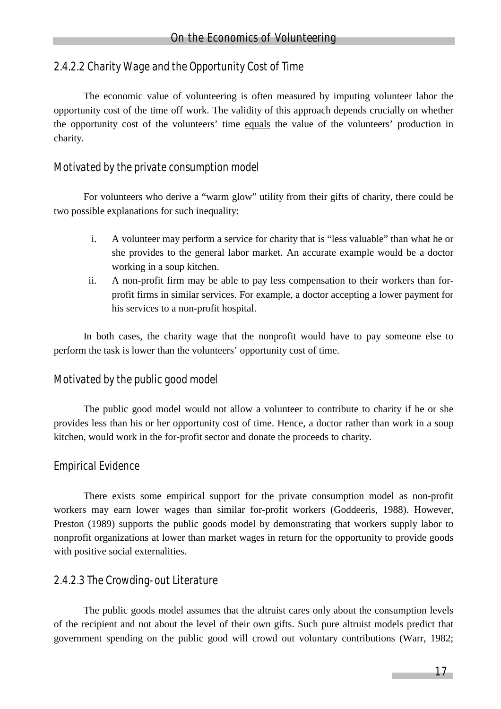## *2.4.2.2 Charity Wage and the Opportunity Cost of Time*

The economic value of volunteering is often measured by imputing volunteer labor the opportunity cost of the time off work. The validity of this approach depends crucially on whether the opportunity cost of the volunteers' time equals the value of the volunteers' production in charity.

#### *Motivated by the private consumption model*

For volunteers who derive a "warm glow" utility from their gifts of charity, there could be two possible explanations for such inequality:

- i. A volunteer may perform a service for charity that is "less valuable" than what he or she provides to the general labor market. An accurate example would be a doctor working in a soup kitchen.
- ii. A non-profit firm may be able to pay less compensation to their workers than forprofit firms in similar services. For example, a doctor accepting a lower payment for his services to a non-profit hospital.

In both cases, the charity wage that the nonprofit would have to pay someone else to perform the task is lower than the volunteers' opportunity cost of time.

#### *Motivated by the public good model*

The public good model would not allow a volunteer to contribute to charity if he or she provides less than his or her opportunity cost of time. Hence, a doctor rather than work in a soup kitchen, would work in the for-profit sector and donate the proceeds to charity.

### *Empirical Evidence*

There exists some empirical support for the private consumption model as non-profit workers may earn lower wages than similar for-profit workers (Goddeeris, 1988). However, Preston (1989) supports the public goods model by demonstrating that workers supply labor to nonprofit organizations at lower than market wages in return for the opportunity to provide goods with positive social externalities.

#### *2.4.2.3 The Crowding-out Literature*

The public goods model assumes that the altruist cares only about the consumption levels of the recipient and not about the level of their own gifts. Such pure altruist models predict that government spending on the public good will crowd out voluntary contributions (Warr, 1982;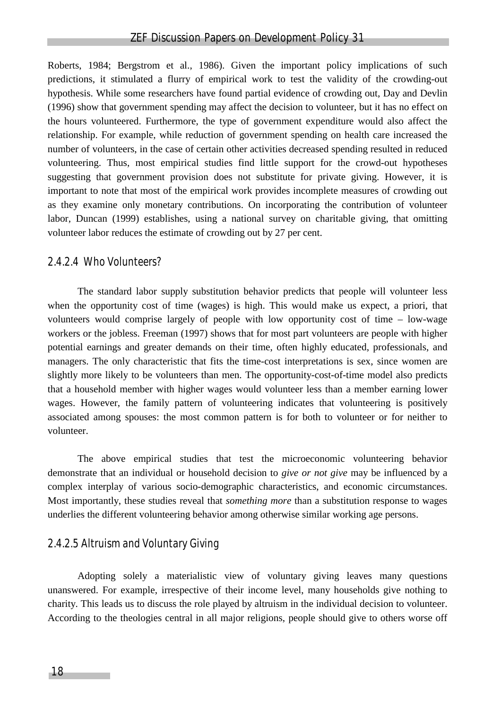Roberts, 1984; Bergstrom et al., 1986). Given the important policy implications of such predictions, it stimulated a flurry of empirical work to test the validity of the crowding-out hypothesis. While some researchers have found partial evidence of crowding out, Day and Devlin (1996) show that government spending may affect the decision to volunteer, but it has no effect on the hours volunteered. Furthermore, the type of government expenditure would also affect the relationship. For example, while reduction of government spending on health care increased the number of volunteers, in the case of certain other activities decreased spending resulted in reduced volunteering. Thus, most empirical studies find little support for the crowd-out hypotheses suggesting that government provision does not substitute for private giving. However, it is important to note that most of the empirical work provides incomplete measures of crowding out as they examine only monetary contributions. On incorporating the contribution of volunteer labor, Duncan (1999) establishes, using a national survey on charitable giving, that omitting volunteer labor reduces the estimate of crowding out by 27 per cent.

#### *2.4.2.4 Who Volunteers?*

The standard labor supply substitution behavior predicts that people will volunteer less when the opportunity cost of time (wages) is high. This would make us expect, a priori, that volunteers would comprise largely of people with low opportunity cost of time – low-wage workers or the jobless. Freeman (1997) shows that for most part volunteers are people with higher potential earnings and greater demands on their time, often highly educated, professionals, and managers. The only characteristic that fits the time-cost interpretations is sex, since women are slightly more likely to be volunteers than men. The opportunity-cost-of-time model also predicts that a household member with higher wages would volunteer less than a member earning lower wages. However, the family pattern of volunteering indicates that volunteering is positively associated among spouses: the most common pattern is for both to volunteer or for neither to volunteer.

The above empirical studies that test the microeconomic volunteering behavior demonstrate that an individual or household decision to *give or not give* may be influenced by a complex interplay of various socio-demographic characteristics, and economic circumstances. Most importantly, these studies reveal that *something more* than a substitution response to wages underlies the different volunteering behavior among otherwise similar working age persons.

#### *2.4.2.5 Altruism and Voluntary Giving*

Adopting solely a materialistic view of voluntary giving leaves many questions unanswered. For example, irrespective of their income level, many households give nothing to charity. This leads us to discuss the role played by altruism in the individual decision to volunteer. According to the theologies central in all major religions, people should give to others worse off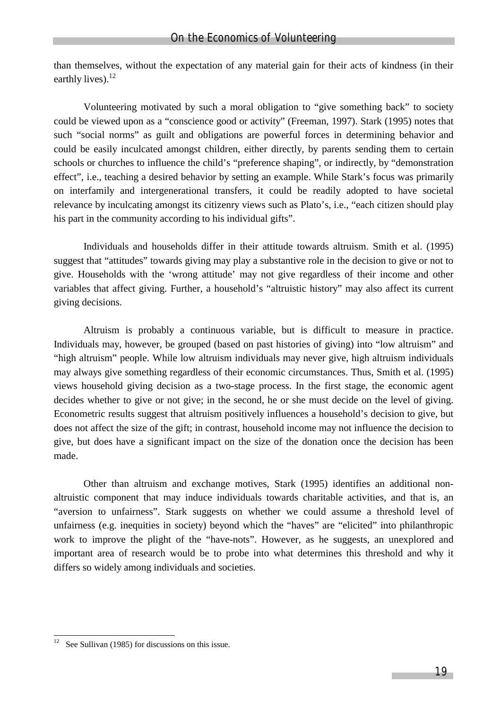than themselves, without the expectation of any material gain for their acts of kindness (in their earthly lives). $^{12}$ 

Volunteering motivated by such a moral obligation to "give something back" to society could be viewed upon as a "conscience good or activity" (Freeman, 1997). Stark (1995) notes that such "social norms" as guilt and obligations are powerful forces in determining behavior and could be easily inculcated amongst children, either directly, by parents sending them to certain schools or churches to influence the child's "preference shaping", or indirectly, by "demonstration effect", i.e., teaching a desired behavior by setting an example. While Stark's focus was primarily on interfamily and intergenerational transfers, it could be readily adopted to have societal relevance by inculcating amongst its citizenry views such as Plato's, i.e., "each citizen should play his part in the community according to his individual gifts".

Individuals and households differ in their attitude towards altruism. Smith et al. (1995) suggest that "attitudes" towards giving may play a substantive role in the decision to give or not to give. Households with the 'wrong attitude' may not give regardless of their income and other variables that affect giving. Further, a household's "altruistic history" may also affect its current giving decisions.

Altruism is probably a continuous variable, but is difficult to measure in practice. Individuals may, however, be grouped (based on past histories of giving) into "low altruism" and "high altruism" people. While low altruism individuals may never give, high altruism individuals may always give something regardless of their economic circumstances. Thus, Smith et al. (1995) views household giving decision as a two-stage process. In the first stage, the economic agent decides whether to give or not give; in the second, he or she must decide on the level of giving. Econometric results suggest that altruism positively influences a household's decision to give, but does not affect the size of the gift; in contrast, household income may not influence the decision to give, but does have a significant impact on the size of the donation once the decision has been made.

Other than altruism and exchange motives, Stark (1995) identifies an additional nonaltruistic component that may induce individuals towards charitable activities, and that is, an "aversion to unfairness". Stark suggests on whether we could assume a threshold level of unfairness (e.g. inequities in society) beyond which the "haves" are "elicited" into philanthropic work to improve the plight of the "have-nots". However, as he suggests, an unexplored and important area of research would be to probe into what determines this threshold and why it differs so widely among individuals and societies.

-

See Sullivan (1985) for discussions on this issue.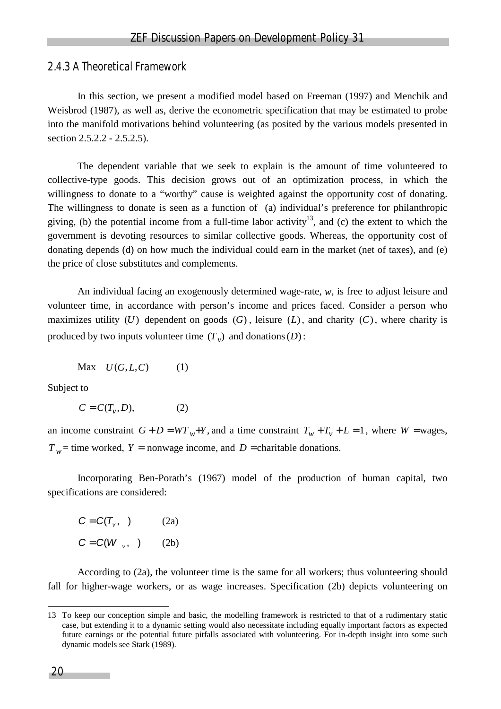#### *2.4.3 A Theoretical Framework*

In this section, we present a modified model based on Freeman (1997) and Menchik and Weisbrod (1987), as well as, derive the econometric specification that may be estimated to probe into the manifold motivations behind volunteering (as posited by the various models presented in section 2.5.2.2 - 2.5.2.5).

The dependent variable that we seek to explain is the amount of time volunteered to collective-type goods. This decision grows out of an optimization process, in which the willingness to donate to a "worthy" cause is weighted against the opportunity cost of donating. The willingness to donate is seen as a function of (a) individual's preference for philanthropic giving, (b) the potential income from a full-time labor activity<sup>13</sup>, and (c) the extent to which the government is devoting resources to similar collective goods. Whereas, the opportunity cost of donating depends (d) on how much the individual could earn in the market (net of taxes), and (e) the price of close substitutes and complements.

An individual facing an exogenously determined wage-rate, *w*, is free to adjust leisure and volunteer time, in accordance with person's income and prices faced. Consider a person who maximizes utility  $(U)$  dependent on goods  $(G)$ , leisure  $(L)$ , and charity  $(C)$ , where charity is produced by two inputs volunteer time  $(T_v)$  and donations  $(D)$ :

$$
\text{Max } U(G, L, C) \tag{1}
$$

Subject to

$$
C = C(T_v, D), \tag{2}
$$

an income constraint  $G + D = WT_w + Y$ , and a time constraint  $T_w + T_v + L = 1$ , where  $W =$  wages,  $T_w$ = time worked, *Y* = nonwage income, and *D* = charitable donations.

Incorporating Ben-Porath's (1967) model of the production of human capital, two specifications are considered:

 $C = C(T_u, )$  (2a)  $C = C(W_{v}, )$  (2b)

According to (2a), the volunteer time is the same for all workers; thus volunteering should fall for higher-wage workers, or as wage increases. Specification (2b) depicts volunteering on

 $\overline{a}$ 

<sup>13</sup> To keep our conception simple and basic, the modelling framework is restricted to that of a rudimentary static case, but extending it to a dynamic setting would also necessitate including equally important factors as expected future earnings or the potential future pitfalls associated with volunteering. For in-depth insight into some such dynamic models see Stark (1989).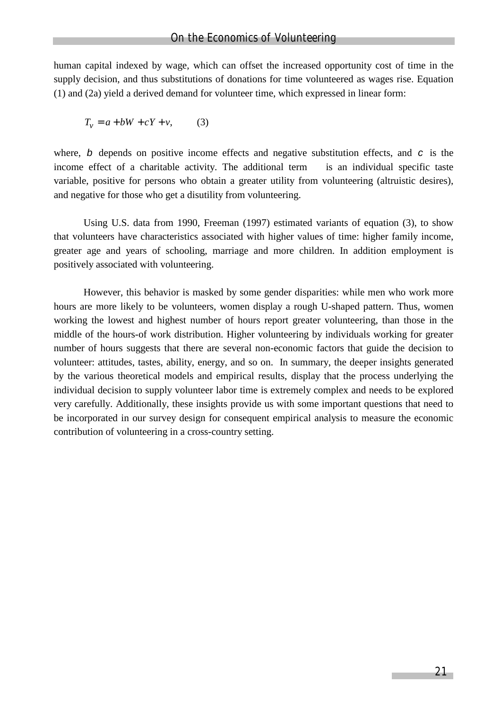human capital indexed by wage, which can offset the increased opportunity cost of time in the supply decision, and thus substitutions of donations for time volunteered as wages rise. Equation (1) and (2a) yield a derived demand for volunteer time, which expressed in linear form:

$$
T_v = a + bW + cY + v,\tag{3}
$$

where,  $b$  depends on positive income effects and negative substitution effects, and  $c$  is the income effect of a charitable activity. The additional term is an individual specific taste variable, positive for persons who obtain a greater utility from volunteering (altruistic desires), and negative for those who get a disutility from volunteering.

Using U.S. data from 1990, Freeman (1997) estimated variants of equation (3), to show that volunteers have characteristics associated with higher values of time: higher family income, greater age and years of schooling, marriage and more children. In addition employment is positively associated with volunteering.

However, this behavior is masked by some gender disparities: while men who work more hours are more likely to be volunteers, women display a rough U-shaped pattern. Thus, women working the lowest and highest number of hours report greater volunteering, than those in the middle of the hours-of work distribution. Higher volunteering by individuals working for greater number of hours suggests that there are several non-economic factors that guide the decision to volunteer: attitudes, tastes, ability, energy, and so on. In summary, the deeper insights generated by the various theoretical models and empirical results, display that the process underlying the individual decision to supply volunteer labor time is extremely complex and needs to be explored very carefully. Additionally, these insights provide us with some important questions that need to be incorporated in our survey design for consequent empirical analysis to measure the economic contribution of volunteering in a cross-country setting.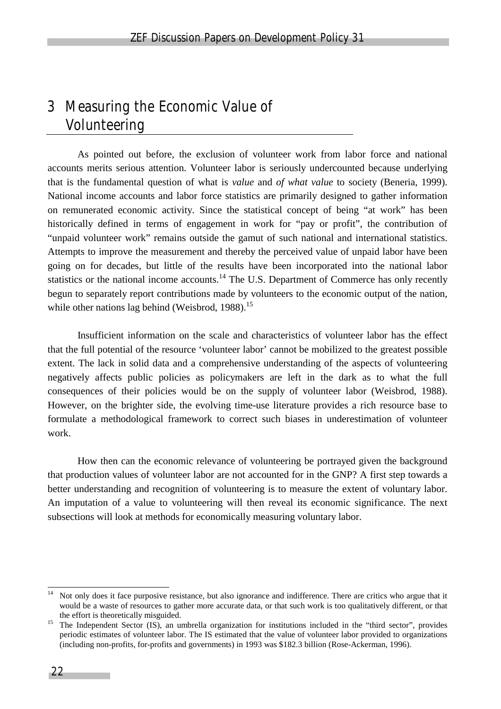# **3 Measuring the Economic Value of Volunteering**

As pointed out before, the exclusion of volunteer work from labor force and national accounts merits serious attention. Volunteer labor is seriously undercounted because underlying that is the fundamental question of what is *value* and *of what value* to society (Beneria, 1999). National income accounts and labor force statistics are primarily designed to gather information on remunerated economic activity. Since the statistical concept of being "at work" has been historically defined in terms of engagement in work for "pay or profit", the contribution of "unpaid volunteer work" remains outside the gamut of such national and international statistics. Attempts to improve the measurement and thereby the perceived value of unpaid labor have been going on for decades, but little of the results have been incorporated into the national labor statistics or the national income accounts.<sup>14</sup> The U.S. Department of Commerce has only recently begun to separately report contributions made by volunteers to the economic output of the nation, while other nations lag behind (Weisbrod, 1988).<sup>15</sup>

Insufficient information on the scale and characteristics of volunteer labor has the effect that the full potential of the resource 'volunteer labor' cannot be mobilized to the greatest possible extent. The lack in solid data and a comprehensive understanding of the aspects of volunteering negatively affects public policies as policymakers are left in the dark as to what the full consequences of their policies would be on the supply of volunteer labor (Weisbrod, 1988). However, on the brighter side, the evolving time-use literature provides a rich resource base to formulate a methodological framework to correct such biases in underestimation of volunteer work.

How then can the economic relevance of volunteering be portrayed given the background that production values of volunteer labor are not accounted for in the GNP? A first step towards a better understanding and recognition of volunteering is to measure the extent of voluntary labor. An imputation of a value to volunteering will then reveal its economic significance. The next subsections will look at methods for economically measuring voluntary labor.

 $\overline{a}$ 

<sup>14</sup> Not only does it face purposive resistance, but also ignorance and indifference. There are critics who argue that it would be a waste of resources to gather more accurate data, or that such work is too qualitatively different, or that the effort is theoretically misguided.<br><sup>15</sup> The Independent Sector (IS), an umbrella organization for institutions included in the "third sector", provides

periodic estimates of volunteer labor. The IS estimated that the value of volunteer labor provided to organizations (including non-profits, for-profits and governments) in 1993 was \$182.3 billion (Rose-Ackerman, 1996).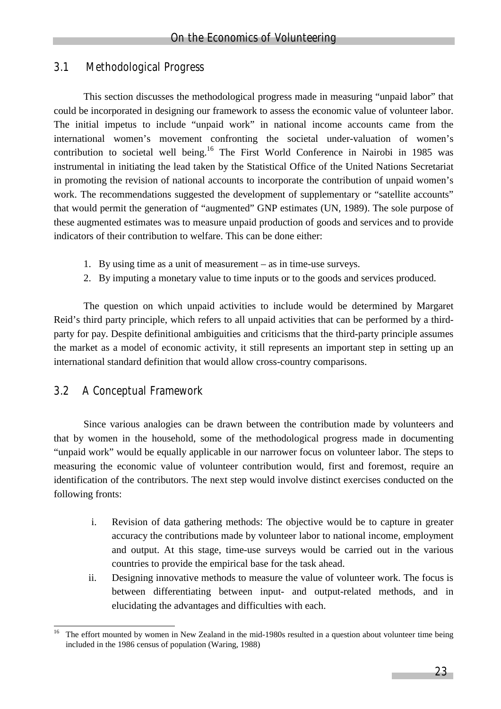# **3.1 Methodological Progress**

This section discusses the methodological progress made in measuring "unpaid labor" that could be incorporated in designing our framework to assess the economic value of volunteer labor. The initial impetus to include "unpaid work" in national income accounts came from the international women's movement confronting the societal under-valuation of women's contribution to societal well being.<sup>16</sup> The First World Conference in Nairobi in 1985 was instrumental in initiating the lead taken by the Statistical Office of the United Nations Secretariat in promoting the revision of national accounts to incorporate the contribution of unpaid women's work. The recommendations suggested the development of supplementary or "satellite accounts" that would permit the generation of "augmented" GNP estimates (UN, 1989). The sole purpose of these augmented estimates was to measure unpaid production of goods and services and to provide indicators of their contribution to welfare. This can be done either:

- 1. By using time as a unit of measurement as in time-use surveys.
- 2. By imputing a monetary value to time inputs or to the goods and services produced.

The question on which unpaid activities to include would be determined by Margaret Reid's third party principle, which refers to all unpaid activities that can be performed by a thirdparty for pay. Despite definitional ambiguities and criticisms that the third-party principle assumes the market as a model of economic activity, it still represents an important step in setting up an international standard definition that would allow cross-country comparisons.

# **3.2 A Conceptual Framework**

Since various analogies can be drawn between the contribution made by volunteers and that by women in the household, some of the methodological progress made in documenting "unpaid work" would be equally applicable in our narrower focus on volunteer labor. The steps to measuring the economic value of volunteer contribution would, first and foremost, require an identification of the contributors. The next step would involve distinct exercises conducted on the following fronts:

- i. Revision of data gathering methods: The objective would be to capture in greater accuracy the contributions made by volunteer labor to national income, employment and output. At this stage, time-use surveys would be carried out in the various countries to provide the empirical base for the task ahead.
- ii. Designing innovative methods to measure the value of volunteer work. The focus is between differentiating between input- and output-related methods, and in elucidating the advantages and difficulties with each.

<sup>16</sup> The effort mounted by women in New Zealand in the mid-1980s resulted in a question about volunteer time being included in the 1986 census of population (Waring, 1988)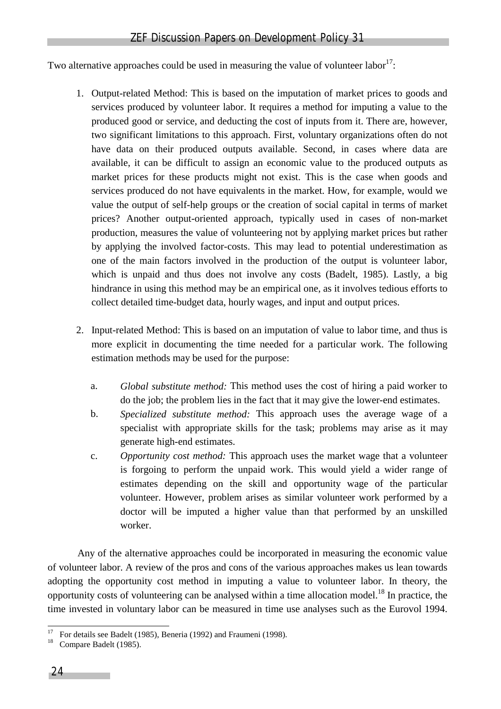Two alternative approaches could be used in measuring the value of volunteer labor<sup>17</sup>:

- 1. Output-related Method: This is based on the imputation of market prices to goods and services produced by volunteer labor. It requires a method for imputing a value to the produced good or service, and deducting the cost of inputs from it. There are, however, two significant limitations to this approach. First, voluntary organizations often do not have data on their produced outputs available. Second, in cases where data are available, it can be difficult to assign an economic value to the produced outputs as market prices for these products might not exist. This is the case when goods and services produced do not have equivalents in the market. How, for example, would we value the output of self-help groups or the creation of social capital in terms of market prices? Another output-oriented approach, typically used in cases of non-market production, measures the value of volunteering not by applying market prices but rather by applying the involved factor-costs. This may lead to potential underestimation as one of the main factors involved in the production of the output is volunteer labor, which is unpaid and thus does not involve any costs (Badelt, 1985). Lastly, a big hindrance in using this method may be an empirical one, as it involves tedious efforts to collect detailed time-budget data, hourly wages, and input and output prices.
- 2. Input-related Method: This is based on an imputation of value to labor time, and thus is more explicit in documenting the time needed for a particular work. The following estimation methods may be used for the purpose:
	- a. *Global substitute method:* This method uses the cost of hiring a paid worker to do the job; the problem lies in the fact that it may give the lower-end estimates.
	- b. *Specialized substitute method:* This approach uses the average wage of a specialist with appropriate skills for the task; problems may arise as it may generate high-end estimates.
	- c. *Opportunity cost method:* This approach uses the market wage that a volunteer is forgoing to perform the unpaid work. This would yield a wider range of estimates depending on the skill and opportunity wage of the particular volunteer. However, problem arises as similar volunteer work performed by a doctor will be imputed a higher value than that performed by an unskilled worker.

Any of the alternative approaches could be incorporated in measuring the economic value of volunteer labor. A review of the pros and cons of the various approaches makes us lean towards adopting the opportunity cost method in imputing a value to volunteer labor. In theory, the opportunity costs of volunteering can be analysed within a time allocation model.18 In practice, the time invested in voluntary labor can be measured in time use analyses such as the Eurovol 1994.

<sup>17</sup> 17 For details see Badelt (1985), Beneria (1992) and Fraumeni (1998).

Compare Badelt (1985).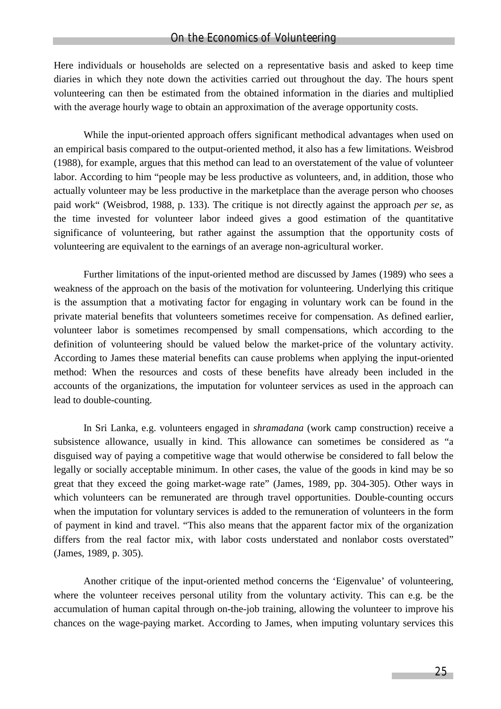Here individuals or households are selected on a representative basis and asked to keep time diaries in which they note down the activities carried out throughout the day. The hours spent volunteering can then be estimated from the obtained information in the diaries and multiplied with the average hourly wage to obtain an approximation of the average opportunity costs.

While the input-oriented approach offers significant methodical advantages when used on an empirical basis compared to the output-oriented method, it also has a few limitations. Weisbrod (1988), for example, argues that this method can lead to an overstatement of the value of volunteer labor. According to him "people may be less productive as volunteers, and, in addition, those who actually volunteer may be less productive in the marketplace than the average person who chooses paid work" (Weisbrod, 1988, p. 133). The critique is not directly against the approach *per se*, as the time invested for volunteer labor indeed gives a good estimation of the quantitative significance of volunteering, but rather against the assumption that the opportunity costs of volunteering are equivalent to the earnings of an average non-agricultural worker.

Further limitations of the input-oriented method are discussed by James (1989) who sees a weakness of the approach on the basis of the motivation for volunteering. Underlying this critique is the assumption that a motivating factor for engaging in voluntary work can be found in the private material benefits that volunteers sometimes receive for compensation. As defined earlier, volunteer labor is sometimes recompensed by small compensations, which according to the definition of volunteering should be valued below the market-price of the voluntary activity. According to James these material benefits can cause problems when applying the input-oriented method: When the resources and costs of these benefits have already been included in the accounts of the organizations, the imputation for volunteer services as used in the approach can lead to double-counting.

In Sri Lanka, e.g. volunteers engaged in *shramadana* (work camp construction) receive a subsistence allowance, usually in kind. This allowance can sometimes be considered as "a disguised way of paying a competitive wage that would otherwise be considered to fall below the legally or socially acceptable minimum. In other cases, the value of the goods in kind may be so great that they exceed the going market-wage rate" (James, 1989, pp. 304-305). Other ways in which volunteers can be remunerated are through travel opportunities. Double-counting occurs when the imputation for voluntary services is added to the remuneration of volunteers in the form of payment in kind and travel. "This also means that the apparent factor mix of the organization differs from the real factor mix, with labor costs understated and nonlabor costs overstated" (James, 1989, p. 305).

Another critique of the input-oriented method concerns the 'Eigenvalue' of volunteering, where the volunteer receives personal utility from the voluntary activity. This can e.g. be the accumulation of human capital through on-the-job training, allowing the volunteer to improve his chances on the wage-paying market. According to James, when imputing voluntary services this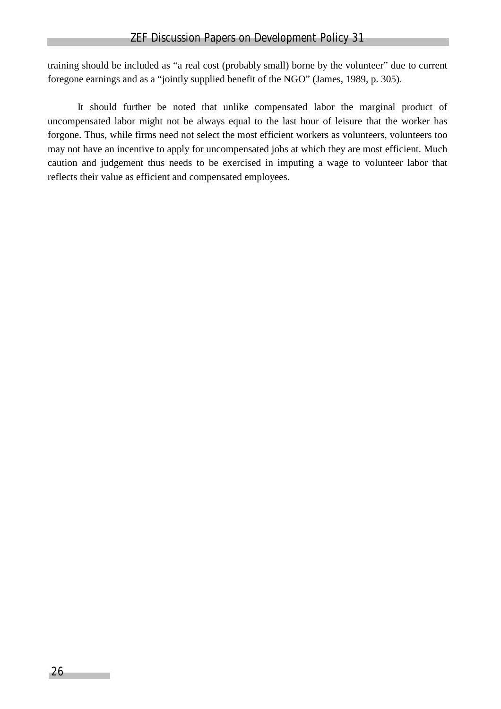training should be included as "a real cost (probably small) borne by the volunteer" due to current foregone earnings and as a "jointly supplied benefit of the NGO" (James, 1989, p. 305).

It should further be noted that unlike compensated labor the marginal product of uncompensated labor might not be always equal to the last hour of leisure that the worker has forgone. Thus, while firms need not select the most efficient workers as volunteers, volunteers too may not have an incentive to apply for uncompensated jobs at which they are most efficient. Much caution and judgement thus needs to be exercised in imputing a wage to volunteer labor that reflects their value as efficient and compensated employees.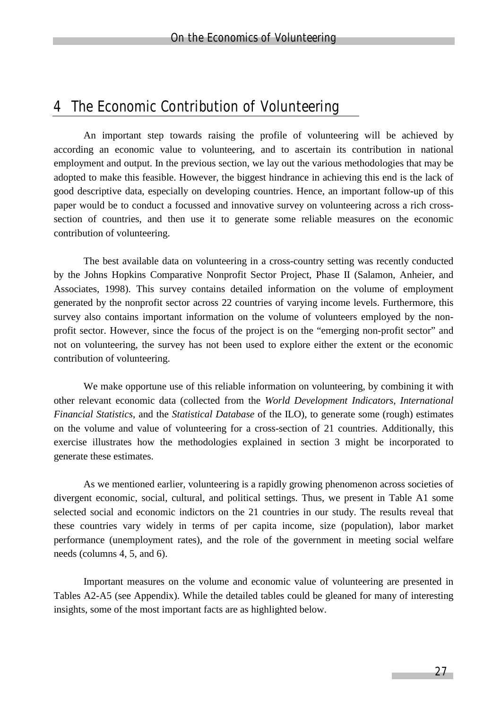# **4 The Economic Contribution of Volunteering**

An important step towards raising the profile of volunteering will be achieved by according an economic value to volunteering, and to ascertain its contribution in national employment and output. In the previous section, we lay out the various methodologies that may be adopted to make this feasible. However, the biggest hindrance in achieving this end is the lack of good descriptive data, especially on developing countries. Hence, an important follow-up of this paper would be to conduct a focussed and innovative survey on volunteering across a rich crosssection of countries, and then use it to generate some reliable measures on the economic contribution of volunteering.

The best available data on volunteering in a cross-country setting was recently conducted by the Johns Hopkins Comparative Nonprofit Sector Project, Phase II (Salamon, Anheier, and Associates, 1998). This survey contains detailed information on the volume of employment generated by the nonprofit sector across 22 countries of varying income levels. Furthermore, this survey also contains important information on the volume of volunteers employed by the nonprofit sector. However, since the focus of the project is on the "emerging non-profit sector" and not on volunteering, the survey has not been used to explore either the extent or the economic contribution of volunteering.

We make opportune use of this reliable information on volunteering, by combining it with other relevant economic data (collected from the *World Development Indicators*, *International Financial Statistics*, and the *Statistical Database* of the ILO), to generate some (rough) estimates on the volume and value of volunteering for a cross-section of 21 countries. Additionally, this exercise illustrates how the methodologies explained in section 3 might be incorporated to generate these estimates.

As we mentioned earlier, volunteering is a rapidly growing phenomenon across societies of divergent economic, social, cultural, and political settings. Thus, we present in Table A1 some selected social and economic indictors on the 21 countries in our study. The results reveal that these countries vary widely in terms of per capita income, size (population), labor market performance (unemployment rates), and the role of the government in meeting social welfare needs (columns 4, 5, and 6).

Important measures on the volume and economic value of volunteering are presented in Tables A2-A5 (see Appendix). While the detailed tables could be gleaned for many of interesting insights, some of the most important facts are as highlighted below.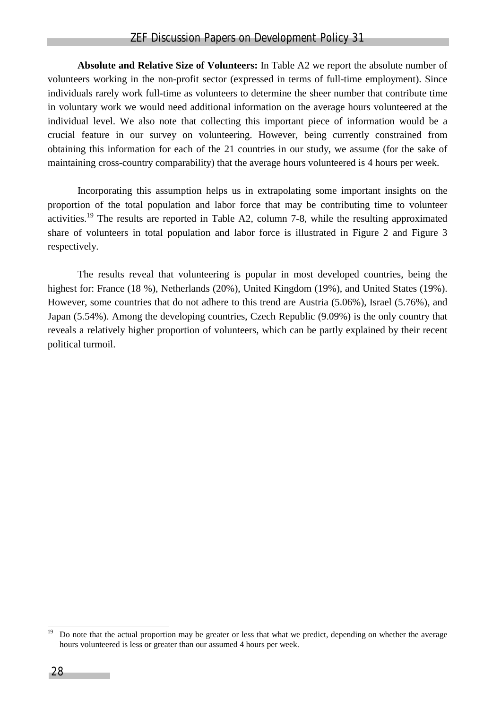**Absolute and Relative Size of Volunteers:** In Table A2 we report the absolute number of volunteers working in the non-profit sector (expressed in terms of full-time employment). Since individuals rarely work full-time as volunteers to determine the sheer number that contribute time in voluntary work we would need additional information on the average hours volunteered at the individual level. We also note that collecting this important piece of information would be a crucial feature in our survey on volunteering. However, being currently constrained from obtaining this information for each of the 21 countries in our study, we assume (for the sake of maintaining cross-country comparability) that the average hours volunteered is 4 hours per week.

Incorporating this assumption helps us in extrapolating some important insights on the proportion of the total population and labor force that may be contributing time to volunteer activities.<sup>19</sup> The results are reported in Table A2, column 7-8, while the resulting approximated share of volunteers in total population and labor force is illustrated in Figure 2 and Figure 3 respectively.

The results reveal that volunteering is popular in most developed countries, being the highest for: France (18 %), Netherlands (20%), United Kingdom (19%), and United States (19%). However, some countries that do not adhere to this trend are Austria (5.06%), Israel (5.76%), and Japan (5.54%). Among the developing countries, Czech Republic (9.09%) is the only country that reveals a relatively higher proportion of volunteers, which can be partly explained by their recent political turmoil.

 $19\,$ 19 Do note that the actual proportion may be greater or less that what we predict, depending on whether the average hours volunteered is less or greater than our assumed 4 hours per week.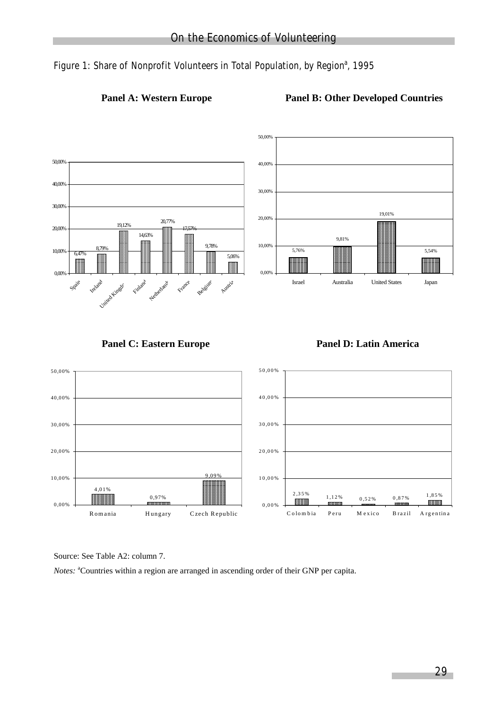#### Figure 1: Share of Nonprofit Volunteers in Total Population, by Region<sup>a</sup>, 1995



0,00%



 $\frac{2,35\%}{\bullet}$  1,12% 0,52% 0,87% 1,85%

C olom bia Peru M exico B razil A rgentina

Source: See Table A2: column 7.

0,00%

**example:**  $0,97\%$ 

Romania Hungary Czech Republic

Notes: <sup>a</sup>Countries within a region are arranged in ascending order of their GNP per capita.

,,,,,,,,,,,,,,,,,,,,,,,,,,,,,,,,

**COL**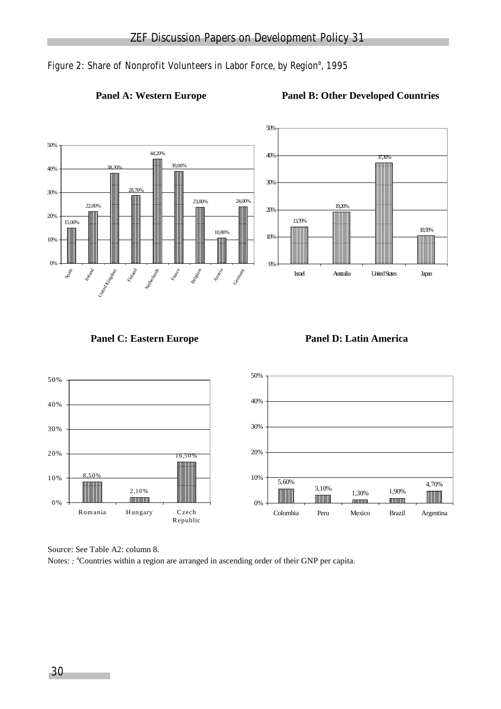#### Figure 2: Share of Nonprofit Volunteers in Labor Force, by Region<sup>a</sup>, 1995



**Panel A: Western Europe****Panel B: Other Developed Countries**



**Panel C: Eastern Europe Panel D: Latin America** 



Source: See Table A2: column 8.

Notes: *:* <sup>a</sup>Countries within a region are arranged in ascending order of their GNP per capita.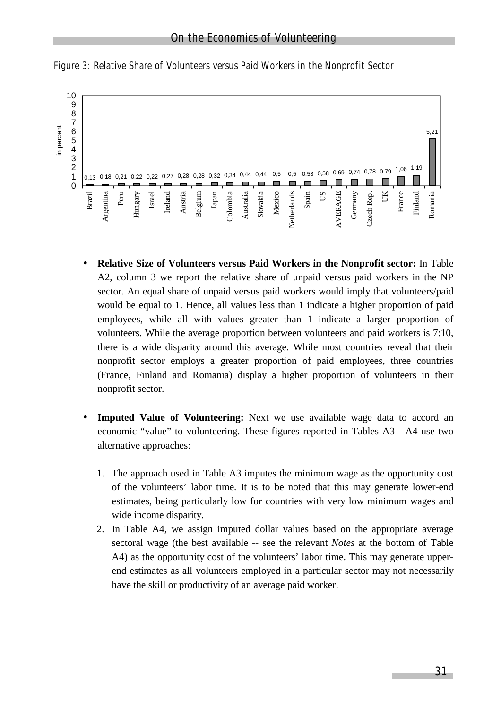

**Figure 3: Relative Share of Volunteers versus Paid Workers in the Nonprofit Sector** 

- **Relative Size of Volunteers versus Paid Workers in the Nonprofit sector:** In Table A2, column 3 we report the relative share of unpaid versus paid workers in the NP sector. An equal share of unpaid versus paid workers would imply that volunteers/paid would be equal to 1. Hence, all values less than 1 indicate a higher proportion of paid employees, while all with values greater than 1 indicate a larger proportion of volunteers. While the average proportion between volunteers and paid workers is 7:10, there is a wide disparity around this average. While most countries reveal that their nonprofit sector employs a greater proportion of paid employees, three countries (France, Finland and Romania) display a higher proportion of volunteers in their nonprofit sector.
- **Imputed Value of Volunteering:** Next we use available wage data to accord an economic "value" to volunteering. These figures reported in Tables A3 - A4 use two alternative approaches:
	- 1. The approach used in Table A3 imputes the minimum wage as the opportunity cost of the volunteers' labor time. It is to be noted that this may generate lower-end estimates, being particularly low for countries with very low minimum wages and wide income disparity.
	- 2. In Table A4, we assign imputed dollar values based on the appropriate average sectoral wage (the best available -- see the relevant *Notes* at the bottom of Table A4) as the opportunity cost of the volunteers' labor time. This may generate upperend estimates as all volunteers employed in a particular sector may not necessarily have the skill or productivity of an average paid worker.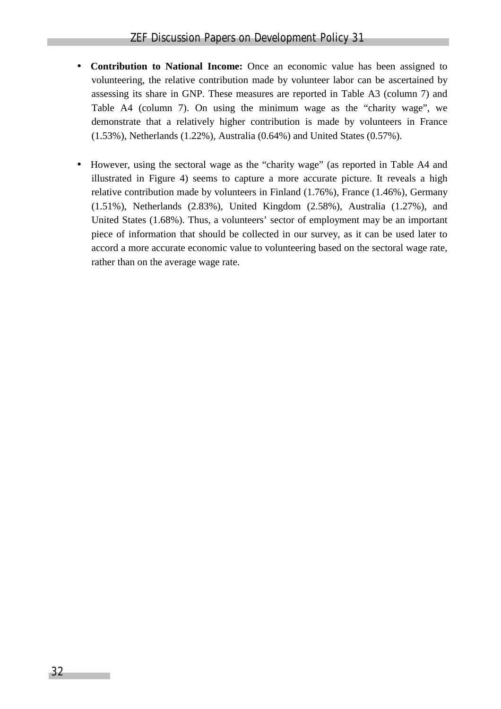- **Contribution to National Income:** Once an economic value has been assigned to volunteering, the relative contribution made by volunteer labor can be ascertained by assessing its share in GNP. These measures are reported in Table A3 (column 7) and Table A4 (column 7). On using the minimum wage as the "charity wage", we demonstrate that a relatively higher contribution is made by volunteers in France (1.53%), Netherlands (1.22%), Australia (0.64%) and United States (0.57%).
- However, using the sectoral wage as the "charity wage" (as reported in Table A4 and illustrated in Figure 4) seems to capture a more accurate picture. It reveals a high relative contribution made by volunteers in Finland (1.76%), France (1.46%), Germany (1.51%), Netherlands (2.83%), United Kingdom (2.58%), Australia (1.27%), and United States (1.68%). Thus, a volunteers' sector of employment may be an important piece of information that should be collected in our survey, as it can be used later to accord a more accurate economic value to volunteering based on the sectoral wage rate, rather than on the average wage rate.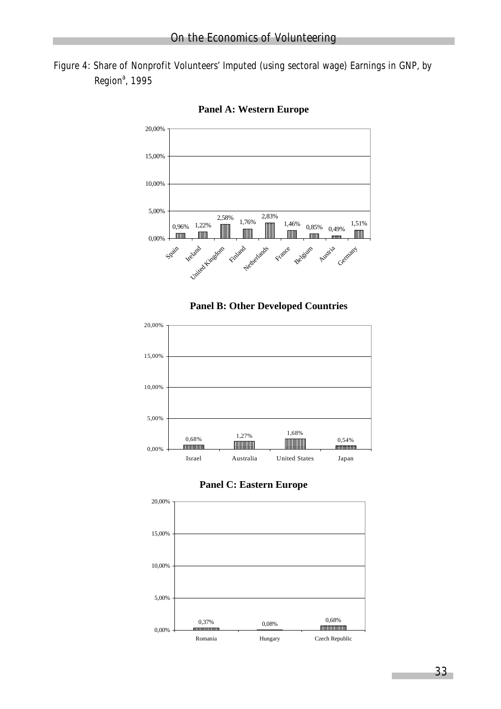



**Panel A: Western Europe** 





**Panel C: Eastern Europe**

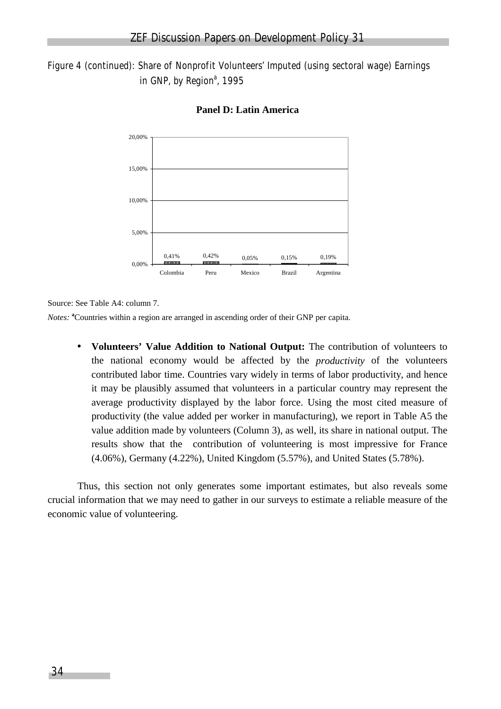# **Figure 4 (continued): Share of Nonprofit Volunteers' Imputed (using sectoral wage) Earnings**  in GNP, by Region<sup>a</sup>, 1995



#### **Panel D: Latin America**

Source: See Table A4: column 7.

*Notes:* **<sup>a</sup>** Countries within a region are arranged in ascending order of their GNP per capita.

• **Volunteers' Value Addition to National Output:** The contribution of volunteers to the national economy would be affected by the *productivity* of the volunteers contributed labor time. Countries vary widely in terms of labor productivity, and hence it may be plausibly assumed that volunteers in a particular country may represent the average productivity displayed by the labor force. Using the most cited measure of productivity (the value added per worker in manufacturing), we report in Table A5 the value addition made by volunteers (Column 3), as well, its share in national output. The results show that the contribution of volunteering is most impressive for France (4.06%), Germany (4.22%), United Kingdom (5.57%), and United States (5.78%).

Thus, this section not only generates some important estimates, but also reveals some crucial information that we may need to gather in our surveys to estimate a reliable measure of the economic value of volunteering.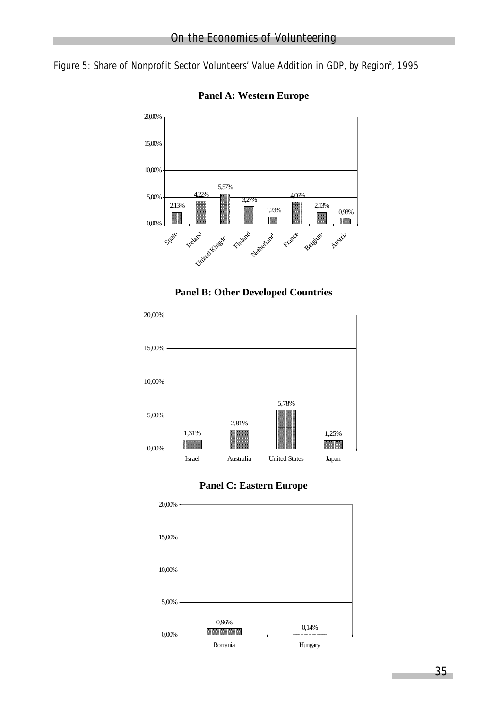Figure 5: Share of Nonprofit Sector Volunteers' Value Addition in GDP, by Region<sup>a</sup>, 1995



**Panel A: Western Europe** 





**Panel C: Eastern Europe** 

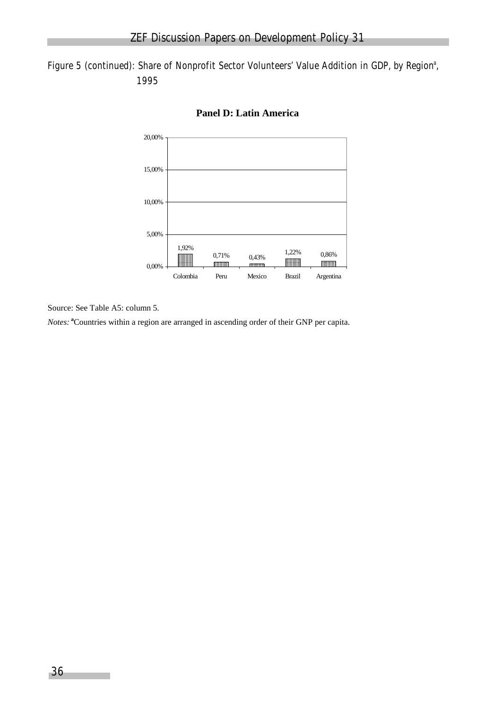## Figure 5 (continued): Share of Nonprofit Sector Volunteers' Value Addition in GDP, by Region<sup>a</sup>,  **1995**



**Panel D: Latin America** 

Source: See Table A5: column 5.

*Notes:***<sup>a</sup>**Countries within a region are arranged in ascending order of their GNP per capita.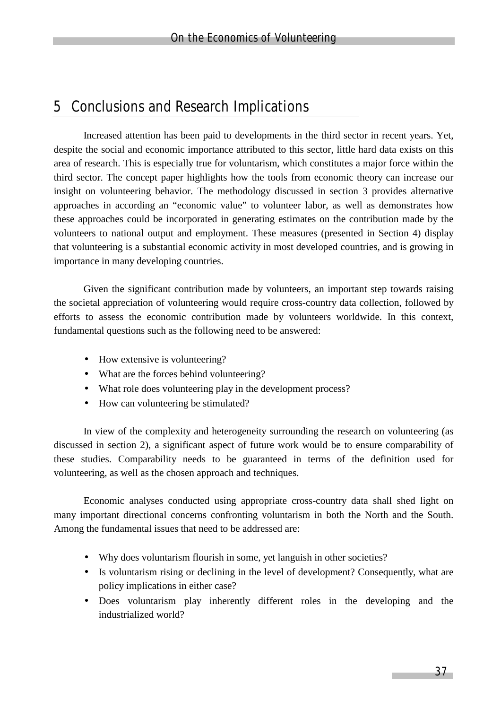# **5 Conclusions and Research Implications**

Increased attention has been paid to developments in the third sector in recent years. Yet, despite the social and economic importance attributed to this sector, little hard data exists on this area of research. This is especially true for voluntarism, which constitutes a major force within the third sector. The concept paper highlights how the tools from economic theory can increase our insight on volunteering behavior. The methodology discussed in section 3 provides alternative approaches in according an "economic value" to volunteer labor, as well as demonstrates how these approaches could be incorporated in generating estimates on the contribution made by the volunteers to national output and employment. These measures (presented in Section 4) display that volunteering is a substantial economic activity in most developed countries, and is growing in importance in many developing countries.

Given the significant contribution made by volunteers, an important step towards raising the societal appreciation of volunteering would require cross-country data collection, followed by efforts to assess the economic contribution made by volunteers worldwide. In this context, fundamental questions such as the following need to be answered:

- How extensive is volunteering?
- What are the forces behind volunteering?
- What role does volunteering play in the development process?
- How can volunteering be stimulated?

In view of the complexity and heterogeneity surrounding the research on volunteering (as discussed in section 2), a significant aspect of future work would be to ensure comparability of these studies. Comparability needs to be guaranteed in terms of the definition used for volunteering, as well as the chosen approach and techniques.

Economic analyses conducted using appropriate cross-country data shall shed light on many important directional concerns confronting voluntarism in both the North and the South. Among the fundamental issues that need to be addressed are:

- Why does voluntarism flourish in some, yet languish in other societies?
- Is voluntarism rising or declining in the level of development? Consequently, what are policy implications in either case?
- Does voluntarism play inherently different roles in the developing and the industrialized world?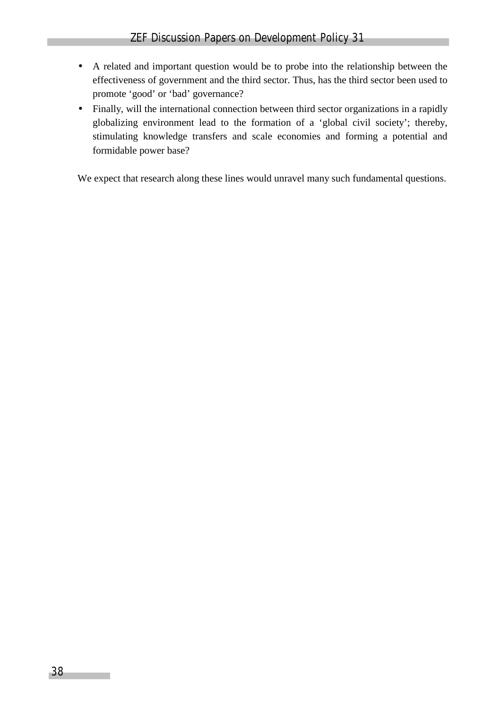- A related and important question would be to probe into the relationship between the effectiveness of government and the third sector. Thus, has the third sector been used to promote 'good' or 'bad' governance?
- Finally, will the international connection between third sector organizations in a rapidly globalizing environment lead to the formation of a 'global civil society'; thereby, stimulating knowledge transfers and scale economies and forming a potential and formidable power base?

We expect that research along these lines would unravel many such fundamental questions.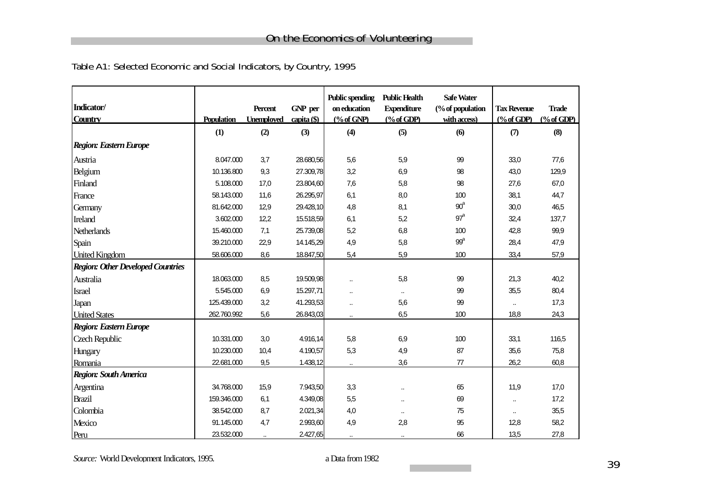| Indicator/<br><b>Country</b>             | <b>Population</b> | Percent<br><b>Unemployed</b> | <b>GNP</b> per<br>$\operatorname{capita}$ (\$) | <b>Public spending</b><br>on education<br>$\frac{9}{6}$ of GNP) | <b>Public Health</b><br><b>Expenditure</b><br>% of GDP | <b>Safe Water</b><br>(% of population<br>with access) | <b>Tax Revenue</b><br>$(\% of GDP)$ | <b>Trade</b><br>% of GDP |
|------------------------------------------|-------------------|------------------------------|------------------------------------------------|-----------------------------------------------------------------|--------------------------------------------------------|-------------------------------------------------------|-------------------------------------|--------------------------|
|                                          | (1)               | (2)                          | (3)                                            | (4)                                                             | (5)                                                    | (6)                                                   | (7)                                 | (8)                      |
| Region: Eastern Europe                   |                   |                              |                                                |                                                                 |                                                        |                                                       |                                     |                          |
| Austria                                  | 8.047.000         | 3,7                          | 28.680,56                                      | 5,6                                                             | 5,9                                                    | 99                                                    | 33,0                                | 77,6                     |
| Belgium                                  | 10.136.800        | 9,3                          | 27.309,78                                      | 3,2                                                             | 6,9                                                    | 98                                                    | 43,0                                | 129,9                    |
| Finland                                  | 5.108.000         | 17,0                         | 23.804,60                                      | 7,6                                                             | 5,8                                                    | 98                                                    | 27,6                                | 67,0                     |
| France                                   | 58.143.000        | 11,6                         | 26.295,97                                      | 6,1                                                             | 8,0                                                    | 100                                                   | 38,1                                | 44,7                     |
| Germany                                  | 81.642.000        | 12,9                         | 29.428,10                                      | 4,8                                                             | 8,1                                                    | 90 <sup>a</sup>                                       | 30,0                                | 46,5                     |
| Ireland                                  | 3.602.000         | 12,2                         | 15.518,59                                      | 6,1                                                             | 5,2                                                    | 97 <sup>a</sup>                                       | 32,4                                | 137,7                    |
| Netherlands                              | 15.460.000        | 7,1                          | 25.739,08                                      | 5,2                                                             | 6,8                                                    | 100                                                   | 42,8                                | 99,9                     |
| Spain                                    | 39.210.000        | 22,9                         | 14.145,29                                      | 4,9                                                             | 5,8                                                    | 99 <sup>a</sup>                                       | 28,4                                | 47,9                     |
| <b>United Kingdom</b>                    | 58.606.000        | 8,6                          | 18.847,50                                      | 5,4                                                             | 5,9                                                    | 100                                                   | 33,4                                | 57,9                     |
| <b>Region: Other Developed Countries</b> |                   |                              |                                                |                                                                 |                                                        |                                                       |                                     |                          |
| Australia                                | 18.063.000        | 8,5                          | 19.509,98                                      |                                                                 | 5,8                                                    | 99                                                    | 21,3                                | 40,2                     |
| <b>Israel</b>                            | 5.545.000         | 6,9                          | 15.297,71                                      | $\ddotsc$                                                       | $\ddotsc$                                              | 99                                                    | 35,5                                | 80,4                     |
| Japan                                    | 125.439.000       | 3,2                          | 41.293,53                                      | $\ldots$                                                        | 5,6                                                    | 99                                                    | $\ddotsc$                           | 17,3                     |
| <b>United States</b>                     | 262.760.992       | 5,6                          | 26.843,03                                      | $\ddot{\phantom{a}}$                                            | 6,5                                                    | 100                                                   | 18,8                                | 24,3                     |
| Region: Eastern Europe                   |                   |                              |                                                |                                                                 |                                                        |                                                       |                                     |                          |
| <b>Czech Republic</b>                    | 10.331.000        | 3,0                          | 4.916,14                                       | 5,8                                                             | 6,9                                                    | 100                                                   | 33,1                                | 116,5                    |
| Hungary                                  | 10.230.000        | 10,4                         | 4.190,57                                       | 5,3                                                             | 4,9                                                    | 87                                                    | 35,6                                | 75,8                     |
| Romania                                  | 22.681.000        | 9,5                          | 1.438,12                                       | $\sim$                                                          | 3,6                                                    | 77                                                    | 26,2                                | 60,8                     |
| Region: South America                    |                   |                              |                                                |                                                                 |                                                        |                                                       |                                     |                          |
| Argentina                                | 34.768,000        | 15,9                         | 7.943,50                                       | 3,3                                                             |                                                        | 65                                                    | 11,9                                | 17,0                     |
| <b>Brazil</b>                            | 159.346.000       | 6,1                          | 4.349,08                                       | 5,5                                                             |                                                        | 69                                                    | $\ldots$                            | 17,2                     |
| Colombia                                 | 38.542,000        | 8,7                          | 2.021,34                                       | 4,0                                                             |                                                        | 75                                                    | $\cdot$ .                           | 35,5                     |
| Mexico                                   | 91.145.000        | 4,7                          | 2.993,60                                       | 4,9                                                             | 2,8                                                    | 95                                                    | 12,8                                | 58,2                     |
| Peru                                     | 23.532,000        | $\ldots$                     | 2.427,65                                       | $\sim$                                                          |                                                        | 66                                                    | 13,5                                | 27,8                     |

|  |  | Table A1: Selected Economic and Social Indicators, by Country, 1995 |  |  |
|--|--|---------------------------------------------------------------------|--|--|
|--|--|---------------------------------------------------------------------|--|--|

*Source:* World Development Indicators, 1995. a Data from 1982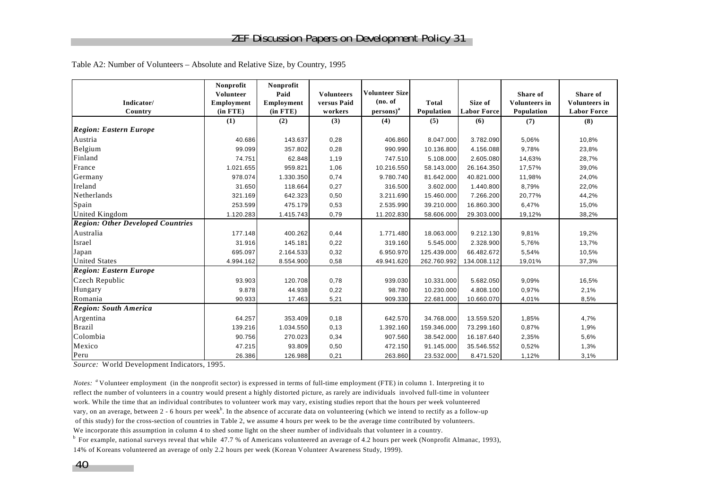| Indicator/<br>Country                    | Nonprofit<br><b>Volunteer</b><br><b>Employment</b><br>$(in$ $FTE)$ | Nonprofit<br>Paid<br>Employment<br>$(in$ $FTE)$ | <b>Volunteers</b><br>versus Paid<br>workers | <b>Volunteer Size</b><br>(no. of<br>persons) <sup>a</sup> | <b>Total</b><br>Population | Size of<br><b>Labor Force</b> | Share of<br><b>Volunteers in</b><br>Population | Share of<br>Volunteers in<br><b>Labor Force</b> |
|------------------------------------------|--------------------------------------------------------------------|-------------------------------------------------|---------------------------------------------|-----------------------------------------------------------|----------------------------|-------------------------------|------------------------------------------------|-------------------------------------------------|
|                                          | (1)                                                                | (2)                                             | (3)                                         | (4)                                                       | (5)                        | (6)                           | (7)                                            | (8)                                             |
| <b>Region: Eastern Europe</b>            |                                                                    |                                                 |                                             |                                                           |                            |                               |                                                |                                                 |
| Austria                                  | 40.686                                                             | 143.637                                         | 0,28                                        | 406.860                                                   | 8.047.000                  | 3.782.090                     | 5,06%                                          | 10,8%                                           |
| Belgium                                  | 99.099                                                             | 357.802                                         | 0,28                                        | 990.990                                                   | 10.136.800                 | 4.156.088                     | 9,78%                                          | 23,8%                                           |
| Finland                                  | 74.751                                                             | 62.848                                          | 1,19                                        | 747.510                                                   | 5.108.000                  | 2.605.080                     | 14,63%                                         | 28,7%                                           |
| France                                   | 1.021.655                                                          | 959.821                                         | 1,06                                        | 10.216.550                                                | 58.143.000                 | 26.164.350                    | 17,57%                                         | 39,0%                                           |
| Germany                                  | 978.074                                                            | 1.330.350                                       | 0,74                                        | 9.780.740                                                 | 81.642.000                 | 40.821.000                    | 11,98%                                         | 24,0%                                           |
| Ireland                                  | 31.650                                                             | 118.664                                         | 0,27                                        | 316.500                                                   | 3.602.000                  | 1.440.800                     | 8,79%                                          | 22,0%                                           |
| Netherlands                              | 321.169                                                            | 642.323                                         | 0,50                                        | 3.211.690                                                 | 15.460.000                 | 7.266.200                     | 20,77%                                         | 44,2%                                           |
| Spain                                    | 253.599                                                            | 475.179                                         | 0,53                                        | 2.535.990                                                 | 39.210.000                 | 16.860.300                    | 6,47%                                          | 15,0%                                           |
| United Kingdom                           | 1.120.283                                                          | 1.415.743                                       | 0,79                                        | 11.202.830                                                | 58.606.000                 | 29.303.000                    | 19,12%                                         | 38,2%                                           |
| <b>Region: Other Developed Countries</b> |                                                                    |                                                 |                                             |                                                           |                            |                               |                                                |                                                 |
| Australia                                | 177.148                                                            | 400.262                                         | 0,44                                        | 1.771.480                                                 | 18.063.000                 | 9.212.130                     | 9,81%                                          | 19,2%                                           |
| Israel                                   | 31.916                                                             | 145.181                                         | 0,22                                        | 319.160                                                   | 5.545.000                  | 2.328.900                     | 5,76%                                          | 13,7%                                           |
| Japan                                    | 695.097                                                            | 2.164.533                                       | 0,32                                        | 6.950.970                                                 | 125.439.000                | 66.482.672                    | 5,54%                                          | 10,5%                                           |
| <b>United States</b>                     | 4.994.162                                                          | 8.554.900                                       | 0,58                                        | 49.941.620                                                | 262.760.992                | 134.008.112                   | 19,01%                                         | 37,3%                                           |
| <b>Region: Eastern Europe</b>            |                                                                    |                                                 |                                             |                                                           |                            |                               |                                                |                                                 |
| Czech Republic                           | 93.903                                                             | 120.708                                         | 0,78                                        | 939.030                                                   | 10.331.000                 | 5.682.050                     | 9,09%                                          | 16,5%                                           |
| Hungary                                  | 9.878                                                              | 44.938                                          | 0,22                                        | 98.780                                                    | 10.230.000                 | 4.808.100                     | 0,97%                                          | 2,1%                                            |
| Romania                                  | 90.933                                                             | 17.463                                          | 5,21                                        | 909.330                                                   | 22.681.000                 | 10.660.070                    | 4,01%                                          | 8,5%                                            |
| <b>Region: South America</b>             |                                                                    |                                                 |                                             |                                                           |                            |                               |                                                |                                                 |
| Argentina                                | 64.257                                                             | 353.409                                         | 0,18                                        | 642.570                                                   | 34.768.000                 | 13.559.520                    | 1,85%                                          | 4,7%                                            |
| <b>Brazil</b>                            | 139.216                                                            | 1.034.550                                       | 0,13                                        | 1.392.160                                                 | 159.346.000                | 73.299.160                    | 0,87%                                          | 1,9%                                            |
| Colombia                                 | 90.756                                                             | 270.023                                         | 0,34                                        | 907.560                                                   | 38.542.000                 | 16.187.640                    | 2,35%                                          | 5,6%                                            |
| Mexico                                   | 47.215                                                             | 93.809                                          | 0,50                                        | 472.150                                                   | 91.145.000                 | 35.546.552                    | 0,52%                                          | 1,3%                                            |
| Peru                                     | 26.386                                                             | 126.988                                         | 0,21                                        | 263.860                                                   | 23.532.000                 | 8.471.520                     | 1,12%                                          | 3,1%                                            |

Table A2: Number of Volunteers – Absolute and Relative Size, by Country, 1995

*Source:* World Development Indicators, 1995.

*Notes:* <sup>*a*</sup> Volunteer employment (in the nonprofit sector) is expressed in terms of full-time employment (FTE) in column 1. Interpreting it to reflect the number of volunteers in a country would present a highly distorted picture, as rarely are individuals involved full-time in volunteer work. While the time that an individual contributes to volunteer work may vary, existing studies report that the hours per week volunteered vary, on an average, between  $2 - 6$  hours per week<sup>b</sup>. In the absence of accurate data on volunteering (which we intend to rectify as a follow-up of this study) for the cross-section of countries in Table 2, we assume 4 hours per week to be the average time contributed by volunteers. We incorporate this assumption in column 4 to shed some light on the sheer number of individuals that volunteer in a country.

<sup>b</sup> For example, national surveys reveal that while 47.7 % of Americans volunteered an average of 4.2 hours per week (Nonprofit Almanac, 1993), 14% of Koreans volunteered an average of only 2.2 hours per week (Korean Volunteer Awareness Study, 1999).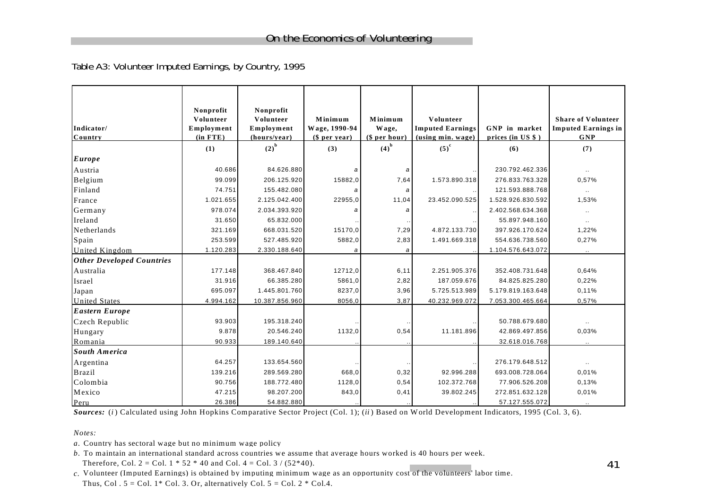#### **Table A3: Volunteer Imputed Earnings, by Country, 1995**

| Indicator/<br>Country            | Nonprofit<br>Volunteer<br>Employment<br>$(in$ $FTE)$ | Nonprofit<br>Volunteer<br>Employment<br>(hours/vear) | Minimum<br>Wage, 1990-94<br>$$$ per vear) | Minimum<br>Wage,<br>$$$ per hour) | Volunteer<br><b>Imputed Earnings</b><br>(using min. wage) | GNP in market<br>prices (in $US$ $\$$ ) | <b>Share of Volunteer</b><br><b>Imputed Earnings in</b><br><b>GNP</b> |
|----------------------------------|------------------------------------------------------|------------------------------------------------------|-------------------------------------------|-----------------------------------|-----------------------------------------------------------|-----------------------------------------|-----------------------------------------------------------------------|
|                                  | (1)                                                  | $(2)^b$                                              | (3)                                       | $(4)^b$                           | $(5)^c$                                                   | (6)                                     | (7)                                                                   |
| <b>Europe</b>                    |                                                      |                                                      |                                           |                                   |                                                           |                                         |                                                                       |
| Austria                          | 40.686                                               | 84.626.880                                           | a                                         | a                                 |                                                           | 230.792.462.336                         | $\sim$                                                                |
| Belgium                          | 99.099                                               | 206.125.920                                          | 15882,0                                   | 7,64                              | 1.573.890.318                                             | 276.833.763.328                         | 0,57%                                                                 |
| Finland                          | 74.751                                               | 155.482.080                                          | а                                         | a                                 |                                                           | 121.593.888.768                         | $\ddotsc$                                                             |
| France                           | 1.021.655                                            | 2.125.042.400                                        | 22955,0                                   | 11,04                             | 23.452.090.525                                            | 1.528.926.830.592                       | 1,53%                                                                 |
| Germany                          | 978.074                                              | 2.034.393.920                                        | а                                         | а                                 |                                                           | 2.402.568.634.368                       | $\ddotsc$                                                             |
| Ireland                          | 31.650                                               | 65.832.000                                           |                                           |                                   |                                                           | 55.897.948.160                          | $\ldots$                                                              |
| Netherlands                      | 321.169                                              | 668.031.520                                          | 15170,0                                   | 7,29                              | 4.872.133.730                                             | 397.926.170.624                         | 1,22%                                                                 |
| Spain                            | 253.599                                              | 527.485.920                                          | 5882,0                                    | 2,83                              | 1.491.669.318                                             | 554.636.738.560                         | 0,27%                                                                 |
| United Kingdom                   | 1.120.283                                            | 2.330.188.640                                        | a                                         | a                                 |                                                           | 1.104.576.643.072                       |                                                                       |
| <b>Other Developed Countries</b> |                                                      |                                                      |                                           |                                   |                                                           |                                         |                                                                       |
| Australia                        | 177.148                                              | 368.467.840                                          | 12712,0                                   | 6,11                              | 2.251.905.376                                             | 352.408.731.648                         | 0,64%                                                                 |
| Israel                           | 31.916                                               | 66.385.280                                           | 5861,0                                    | 2,82                              | 187.059.676                                               | 84.825.825.280                          | 0,22%                                                                 |
| Japan                            | 695.097                                              | 1.445.801.760                                        | 8237,0                                    | 3,96                              | 5.725.513.989                                             | 5.179.819.163.648                       | 0.11%                                                                 |
| <b>United States</b>             | 4.994.162                                            | 10.387.856.960                                       | 8056,0                                    | 3,87                              | 40.232.969.072                                            | 7.053.300.465.664                       | 0,57%                                                                 |
| <b>Eastern Europe</b>            |                                                      |                                                      |                                           |                                   |                                                           |                                         |                                                                       |
| Czech Republic                   | 93.903                                               | 195.318.240                                          |                                           |                                   |                                                           | 50.788.679.680                          | $\sim$                                                                |
| Hungary                          | 9.878                                                | 20.546.240                                           | 1132,0                                    | 0,54                              | 11.181.896                                                | 42.869.497.856                          | 0,03%                                                                 |
| Romania                          | 90.933                                               | 189.140.640                                          |                                           |                                   |                                                           | 32.618.016.768                          |                                                                       |
| <b>South America</b>             |                                                      |                                                      |                                           |                                   |                                                           |                                         |                                                                       |
| Argentina                        | 64.257                                               | 133.654.560                                          |                                           |                                   |                                                           | 276.179.648.512                         | $\sim$                                                                |
| Brazil                           | 139.216                                              | 289.569.280                                          | 668,0                                     | 0,32                              | 92.996.288                                                | 693.008.728.064                         | 0,01%                                                                 |
| Colombia                         | 90.756                                               | 188.772.480                                          | 1128,0                                    | 0,54                              | 102.372.768                                               | 77.906.526.208                          | 0.13%                                                                 |
| Mexico                           | 47.215                                               | 98.207.200                                           | 843,0                                     | 0,41                              | 39.802.245                                                | 272.851.632.128                         | 0,01%                                                                 |
| Peru                             | 26.386                                               | 54.882.880                                           |                                           |                                   |                                                           | 57.127.555.072                          |                                                                       |

*Sources:* (*i* ) Calculated using John Hopkins Comparative Sector Project (Col. 1); (*ii* ) Based on World Development Indicators, 1995 (Col. 3, 6).

*Notes:* 

- *a.* Country has sectoral wage but no minimum wage policy
- *b.* To maintain an international standard across countries we assume that average hours worked is 40 hours per week. Therefore, Col. 2 = Col. 1  $*$  52  $*$  40 and Col. 4 = Col. 3 / (52 $*$ 40).
- *c.* Volunteer (Imputed Earnings) is obtained by imputing minimum wage as an opportunity cost of the volunteers' labor time. Thus, Col. 5 = Col. 1\* Col. 3. Or, alternatively Col. 5 = Col. 2 \* Col. 4.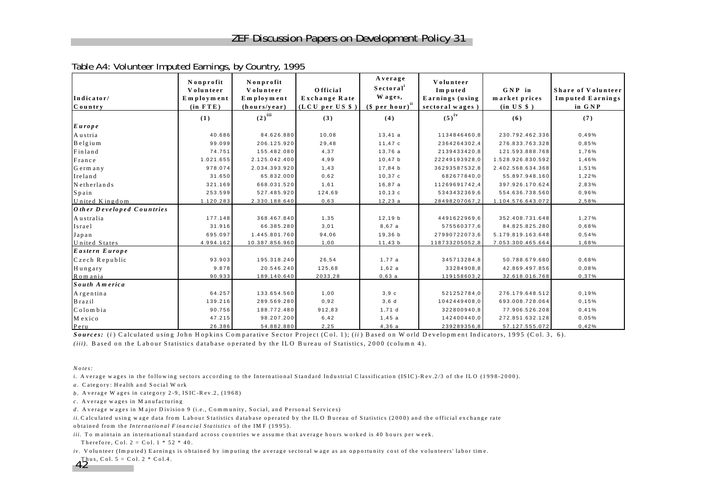| Indicator/<br>Country     | Nonprofit<br>Volunteer<br>Employment<br>$(in$ $FTE)$ | Nonprofit<br>Volunteer<br>Employment<br>(hours/year) | O fficial<br>Exchange Rate<br>(LCU per US \$ ) | Average<br>Sectoral <sup>'</sup><br>Wages,<br>$($ \$ per hour $)$ <sup>ii</sup> | Volunteer<br>Imputed<br>Earnings (using<br>sectoral wages) | GNP in<br>market prices<br>$(in \; US \; $)$ | Share of Volunteer<br>Imputed Earnings<br>in GNP |
|---------------------------|------------------------------------------------------|------------------------------------------------------|------------------------------------------------|---------------------------------------------------------------------------------|------------------------------------------------------------|----------------------------------------------|--------------------------------------------------|
|                           | (1)                                                  | $(2)^{iii}$                                          | (3)                                            | (4)                                                                             | $(5)^{iv}$                                                 | (6)                                          | (7)                                              |
| $E$ urope                 |                                                      |                                                      |                                                |                                                                                 |                                                            |                                              |                                                  |
| Austria                   | 40.686                                               | 84.626.880                                           | 10,08                                          | 13,41a                                                                          | 1134846460,8                                               | 230.792.462.336                              | 0,49%                                            |
| Belgium                   | 99.099                                               | 206.125.920                                          | 29,48                                          | 11,47 c                                                                         | 2364264302.4                                               | 276.833.763.328                              | 0,85%                                            |
| Finland                   | 74.751                                               | 155.482.080                                          | 4,37                                           | 13,76a                                                                          | 2139433420,8                                               | 121.593.888.768                              | 1,76%                                            |
| Frane                     | 1.021.655                                            | 2.125.042.400                                        | 4,99                                           | $10,47$ b                                                                       | 22249193928,0                                              | 1.528.926.830.592                            | 1,46%                                            |
| Germany                   | 978.074                                              | 2.034.393.920                                        | 1, 43                                          | 17,84 b                                                                         | 36293587532,8                                              | 2.402.568.634.368                            | 1,51%                                            |
| Ireland                   | 31.650                                               | 65.832.000                                           | 0,62                                           | 10,37c                                                                          | 682677840,0                                                | 55.897.948.160                               | 1,22%                                            |
| Netherlands               | 321.169                                              | 668.031.520                                          | 1,61                                           | 16,87 a                                                                         | 11269691742,4                                              | 397.926.170.624                              | 2,83%                                            |
| Spain                     | 253.599                                              | 527.485.920                                          | 124,69                                         | 10, 13c                                                                         | 5343432369,6                                               | 554.636.738.560                              | 0,96%                                            |
| United Kingdom            | 1.120.283                                            | 2.330.188.640                                        | 0,63                                           | 12,23a                                                                          | 28498207067,2                                              | 1.104.576.643.072                            | 2,58%                                            |
| Other Developed Countries |                                                      |                                                      |                                                |                                                                                 |                                                            |                                              |                                                  |
|                           |                                                      |                                                      |                                                |                                                                                 |                                                            |                                              |                                                  |
| Australia                 | 177.148                                              | 368.467.840                                          | 1,35                                           | 12,19 b                                                                         | 4491622969,6                                               | 352.408.731.648                              | 1,27%                                            |
| Israel                    | 31.916                                               | 66.385.280                                           | 3,01                                           | 8,67 a                                                                          | 575560377,6                                                | 84.825.825.280                               | 0,68%                                            |
| Japan                     | 695.097                                              | 1.445.801.760                                        | 94,06                                          | 19,36 b                                                                         | 27990722073,6                                              | 5.179.819.163.648                            | 0,54%                                            |
| United States             | 4.994.162                                            | 10.387.856.960                                       | 1,00                                           | 11,43 b                                                                         | 118733205052,8                                             | 7.053.300.465.664                            | 1,68%                                            |
| Eastern Europe            |                                                      |                                                      |                                                |                                                                                 |                                                            |                                              |                                                  |
| Czech Republic            | 93.903                                               | 195.318.240                                          | 26,54                                          | 1,77 a                                                                          | 345713284,8                                                | 50.788.679.680                               | 0,68%                                            |
| Hungary                   | 9.878                                                | 20.546.240                                           | 125,68                                         | 1,62a                                                                           | 33284908,8                                                 | 42.869.497.856                               | 0,08%                                            |
| Romania                   | 90.933                                               | 189.140.640                                          | 2033,28                                        | 0,63a                                                                           | 119158603,2                                                | 32.618.016.768                               | 0,37%                                            |
| South America             |                                                      |                                                      |                                                |                                                                                 |                                                            |                                              |                                                  |
| Argentina                 | 64.257                                               | 133.654.560                                          | 1,00                                           | 3,9c                                                                            | 521252784,0                                                | 276.179.648.512                              | 0,19%                                            |
| Brazil                    | 139.216                                              | 289.569.280                                          | 0,92                                           | 3,6d                                                                            | 1042449408.0                                               | 693.008.728.064                              | 0,15%                                            |
| Colombia                  | 90.756                                               | 188.772.480                                          | 912,83                                         | $1,71$ d                                                                        | 322800940,8                                                | 77.906.526.208                               | 0,41%                                            |
| Mexico                    | 47.215                                               | 98.207.200                                           | 6,42                                           | 1,45a                                                                           | 142400440,0                                                | 272.851.632.128                              | 0,05%                                            |
| $P$ eru                   | 26.386                                               | 54.882.880                                           | 2,25                                           | 4,36a                                                                           | 239289356,8                                                | 57.127.555.072                               | 0,42%                                            |

**Table A4: Volunteer Imputed Earnings, by Country, 1995**

Sources: (*i*) Calculated using John Hopkins Comparative Sector Project (Col. 1); (*ii*) Based on W orld Development Indicators, 1995 (Col. 3, 6).

*(iii).* Based on the Labour Statistics database operated by the ILO Bureau of Statistics, 2000 (column 4).

*N otes:* 

*i.* A verage wages in the following sectors according to the International Standard Industrial Classification (ISIC)-Rev.2/3 of the ILO (1998-2000).

*a.* C ate g <sup>o</sup> ry : H ealth and Social W ork

*b.* A verage W ages in category 2–9, ISIC–Rev.2, (1968)

- $c$ . A verage wages in Manufacturing
- *d*. Average wages in Major Division 9 (i.e., Community, Social, and Personal Services)

*ii.* Calculated using wage data from Labour Statistics database operated by the ILO Bureau of Statistics (2000) and the official exchange rate

obtained from the *International Financial Statistics* of the IM F (1995 ).

*iii.* To maintain an international standard across countries we assume that average hours worked is 40 hours per week.

Therefore, Col. 2 = Col. 1  $*$  52  $*$  40.

*iv.* V olunteer (Im puted) Earnings is obtained by imputing the average sectoral wage as an opportunity cost of the volunteers' labor time.

**Thus, Col. 5 = Col. 2 \* Col.4.** 

 **42**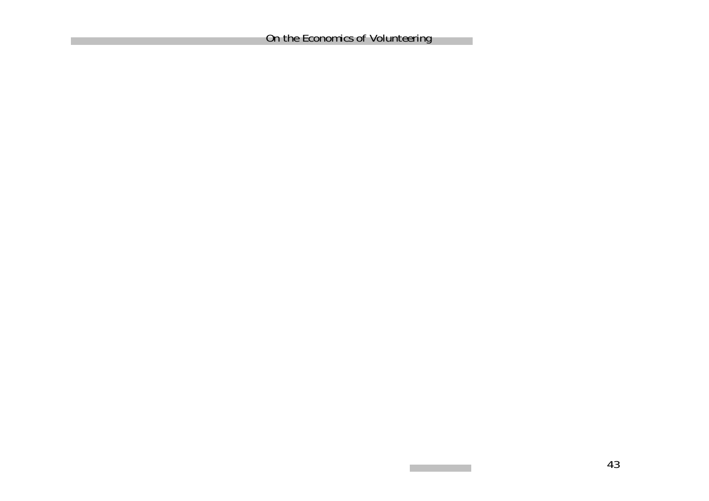**On the Economics of Volunteering** 

 $\mathcal{L}^{\text{max}}_{\text{max}}$  , where  $\mathcal{L}^{\text{max}}_{\text{max}}$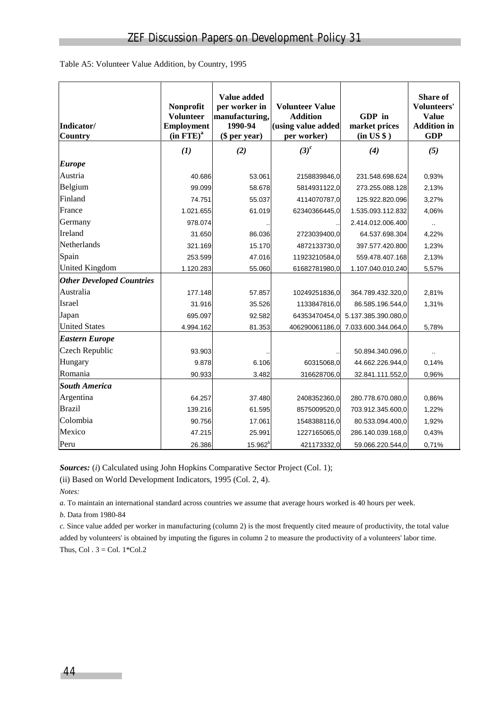| Table A5: Volunteer Value Addition, by Country, 1995 |  |  |  |
|------------------------------------------------------|--|--|--|
|------------------------------------------------------|--|--|--|

| Indicator/<br><b>Country</b>     | Nonprofit<br><b>Volunteer</b><br><b>Employment</b><br>$(in$ $FTE)^a$ | Value added<br>per worker in<br>manufacturing,<br>1990-94<br>\$per year) | <b>Volunteer Value</b><br><b>Addition</b><br>(using value added<br>per worker) | GDP in<br>market prices<br>(in US \$) | <b>Share of</b><br>Volunteers'<br>Value<br><b>Addition</b> in<br><b>GDP</b> |
|----------------------------------|----------------------------------------------------------------------|--------------------------------------------------------------------------|--------------------------------------------------------------------------------|---------------------------------------|-----------------------------------------------------------------------------|
|                                  | (1)                                                                  | (2)                                                                      | $(3)^c$                                                                        | (4)                                   | (5)                                                                         |
| <b>Europe</b>                    |                                                                      |                                                                          |                                                                                |                                       |                                                                             |
| Austria                          | 40.686                                                               | 53.061                                                                   | 2158839846,0                                                                   | 231.548.698.624                       | 0,93%                                                                       |
| Belgium                          | 99.099                                                               | 58.678                                                                   | 5814931122,0                                                                   | 273.255.088.128                       | 2,13%                                                                       |
| Finland                          | 74.751                                                               | 55.037                                                                   | 4114070787,0                                                                   | 125.922.820.096                       | 3,27%                                                                       |
| France                           | 1.021.655                                                            | 61.019                                                                   | 62340366445,0                                                                  | 1.535.093.112.832                     | 4,06%                                                                       |
| Germany                          | 978.074                                                              |                                                                          |                                                                                | 2.414.012.006.400                     | $\ddot{\phantom{a}}$                                                        |
| Ireland                          | 31.650                                                               | 86.036                                                                   | 2723039400,0                                                                   | 64.537.698.304                        | 4,22%                                                                       |
| Netherlands                      | 321.169                                                              | 15.170                                                                   | 4872133730,0                                                                   | 397.577.420.800                       | 1,23%                                                                       |
| Spain                            | 253.599                                                              | 47.016                                                                   | 11923210584,0                                                                  | 559.478.407.168                       | 2,13%                                                                       |
| <b>United Kingdom</b>            | 1.120.283                                                            | 55.060                                                                   | 61682781980,0                                                                  | 1.107.040.010.240                     | 5,57%                                                                       |
| <b>Other Developed Countries</b> |                                                                      |                                                                          |                                                                                |                                       |                                                                             |
| Australia                        | 177.148                                                              | 57.857                                                                   | 10249251836,0                                                                  | 364.789.432.320,0                     | 2,81%                                                                       |
| Israel                           | 31.916                                                               | 35.526                                                                   | 1133847816,0                                                                   | 86.585.196.544,0                      | 1,31%                                                                       |
| Japan                            | 695.097                                                              | 92.582                                                                   | 64353470454,0                                                                  | 5.137.385.390.080,0                   |                                                                             |
| <b>United States</b>             | 4.994.162                                                            | 81.353                                                                   | 406290061186,0                                                                 | 7.033.600.344.064,0                   | 5,78%                                                                       |
| <b>Eastern Europe</b>            |                                                                      |                                                                          |                                                                                |                                       |                                                                             |
| Czech Republic                   | 93.903                                                               |                                                                          |                                                                                | 50.894.340.096,0                      |                                                                             |
| Hungary                          | 9.878                                                                | 6.106                                                                    | 60315068,0                                                                     | 44.662.226.944,0                      | 0,14%                                                                       |
| Romania                          | 90.933                                                               | 3.482                                                                    | 316628706,0                                                                    | 32.841.111.552,0                      | 0,96%                                                                       |
| <b>South America</b>             |                                                                      |                                                                          |                                                                                |                                       |                                                                             |
| Argentina                        | 64.257                                                               | 37.480                                                                   | 2408352360,0                                                                   | 280.778.670.080,0                     | 0,86%                                                                       |
| <b>Brazil</b>                    | 139.216                                                              | 61.595                                                                   | 8575009520,0                                                                   | 703.912.345.600,0                     | 1,22%                                                                       |
| Colombia                         | 90.756                                                               | 17.061                                                                   | 1548388116,0                                                                   | 80.533.094.400,0                      | 1,92%                                                                       |
| Mexico                           | 47.215                                                               | 25.991                                                                   | 1227165065,0                                                                   | 286.140.039.168,0                     | 0,43%                                                                       |
| Peru                             | 26.386                                                               | 15.962 <sup>b</sup>                                                      | 421173332,0                                                                    | 59.066.220.544,0                      | 0,71%                                                                       |

*Sources:* (*i*) Calculated using John Hopkins Comparative Sector Project (Col. 1);

(ii) Based on World Development Indicators, 1995 (Col. 2, 4).

*Notes:* 

*a.* To maintain an international standard across countries we assume that average hours worked is 40 hours per week.

*b.* Data from 1980-84

*c.* Since value added per worker in manufacturing (column 2) is the most frequently cited meaure of productivity, the total value added by volunteers' is obtained by imputing the figures in column 2 to measure the productivity of a volunteers' labor time. Thus, Col .  $3 =$ Col. 1\*Col.2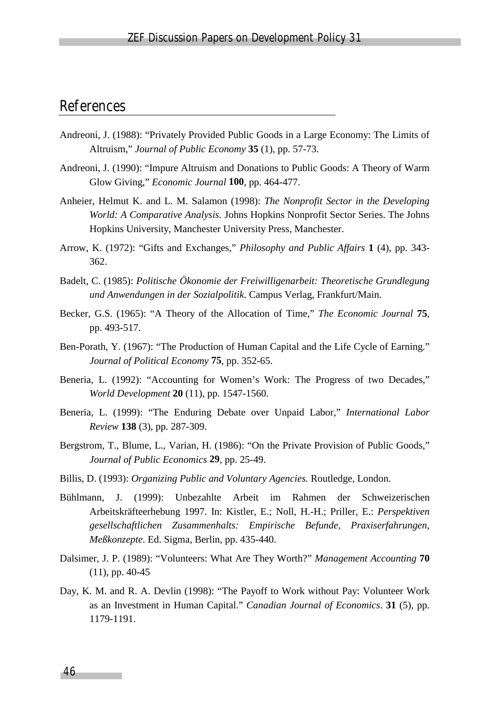# **References**

- Andreoni, J. (1988): "Privately Provided Public Goods in a Large Economy: The Limits of Altruism," *Journal of Public Economy* **35** (1), pp. 57-73.
- Andreoni, J. (1990): "Impure Altruism and Donations to Public Goods: A Theory of Warm Glow Giving," *Economic Journal* **100**, pp. 464-477.
- Anheier, Helmut K. and L. M. Salamon (1998): *The Nonprofit Sector in the Developing World: A Comparative Analysis.* Johns Hopkins Nonprofit Sector Series. The Johns Hopkins University, Manchester University Press, Manchester.
- Arrow, K. (1972): "Gifts and Exchanges," *Philosophy and Public Affairs* **1** (4), pp. 343- 362.
- Badelt, C. (1985): *Politische Ökonomie der Freiwilligenarbeit: Theoretische Grundlegung und Anwendungen in der Sozialpolitik*. Campus Verlag, Frankfurt/Main.
- Becker, G.S. (1965): "A Theory of the Allocation of Time," *The Economic Journal* **75**, pp. 493-517.
- Ben-Porath, Y. (1967): "The Production of Human Capital and the Life Cycle of Earning." *Journal of Political Economy* **75**, pp. 352-65.
- Beneria, L. (1992): "Accounting for Women's Work: The Progress of two Decades," *World Development* **20** (11), pp. 1547-1560.
- Beneria, L. (1999): "The Enduring Debate over Unpaid Labor," *International Labor Review* **138** (3), pp. 287-309.
- Bergstrom, T., Blume, L., Varian, H. (1986): "On the Private Provision of Public Goods," *Journal of Public Economics* **29**, pp. 25-49.
- Billis, D. (1993): *Organizing Public and Voluntary Agencies.* Routledge, London.
- Bühlmann, J. (1999): Unbezahlte Arbeit im Rahmen der Schweizerischen Arbeitskräfteerhebung 1997. In: Kistler, E.; Noll, H.-H.; Priller, E.: *Perspektiven gesellschaftlichen Zusammenhalts: Empirische Befunde, Praxiserfahrungen, Meßkonzepte*. Ed. Sigma, Berlin, pp. 435-440.
- Dalsimer, J. P. (1989): "Volunteers: What Are They Worth?" *Management Accounting* **70**  (11), pp. 40-45
- Day, K. M. and R. A. Devlin (1998): "The Payoff to Work without Pay: Volunteer Work as an Investment in Human Capital." *Canadian Journal of Economics*. **31** (5), pp. 1179-1191.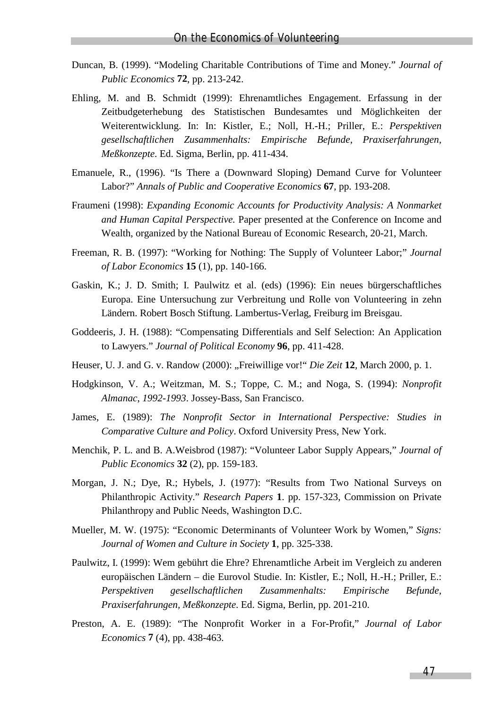- Duncan, B. (1999). "Modeling Charitable Contributions of Time and Money." *Journal of Public Economics* **72**, pp. 213-242.
- Ehling, M. and B. Schmidt (1999): Ehrenamtliches Engagement. Erfassung in der Zeitbudgeterhebung des Statistischen Bundesamtes und Möglichkeiten der Weiterentwicklung. In: In: Kistler, E.; Noll, H.-H.; Priller, E.: *Perspektiven gesellschaftlichen Zusammenhalts: Empirische Befunde, Praxiserfahrungen, Meßkonzepte*. Ed. Sigma, Berlin, pp. 411-434.
- Emanuele, R., (1996). "Is There a (Downward Sloping) Demand Curve for Volunteer Labor?" *Annals of Public and Cooperative Economics* **67**, pp. 193-208.
- Fraumeni (1998): *Expanding Economic Accounts for Productivity Analysis: A Nonmarket and Human Capital Perspective.* Paper presented at the Conference on Income and Wealth, organized by the National Bureau of Economic Research, 20-21, March.
- Freeman, R. B. (1997): "Working for Nothing: The Supply of Volunteer Labor;" *Journal of Labor Economics* **15** (1), pp. 140-166.
- Gaskin, K.; J. D. Smith; I. Paulwitz et al. (eds) (1996): Ein neues bürgerschaftliches Europa. Eine Untersuchung zur Verbreitung und Rolle von Volunteering in zehn Ländern. Robert Bosch Stiftung. Lambertus-Verlag, Freiburg im Breisgau.
- Goddeeris, J. H. (1988): "Compensating Differentials and Self Selection: An Application to Lawyers." *Journal of Political Economy* **96**, pp. 411-428.
- Heuser, U. J. and G. v. Randow (2000): "Freiwillige vor!" *Die Zeit* 12, March 2000, p. 1.
- Hodgkinson, V. A.; Weitzman, M. S.; Toppe, C. M.; and Noga, S. (1994): *Nonprofit Almanac*, *1992-1993*. Jossey-Bass, San Francisco.
- James, E. (1989): *The Nonprofit Sector in International Perspective: Studies in Comparative Culture and Policy*. Oxford University Press, New York.
- Menchik, P. L. and B. A.Weisbrod (1987): "Volunteer Labor Supply Appears," *Journal of Public Economics* **32** (2), pp. 159-183.
- Morgan, J. N.; Dye, R.; Hybels, J. (1977): "Results from Two National Surveys on Philanthropic Activity." *Research Papers* **1**. pp. 157-323, Commission on Private Philanthropy and Public Needs, Washington D.C.
- Mueller, M. W. (1975): "Economic Determinants of Volunteer Work by Women," *Signs: Journal of Women and Culture in Society* **1**, pp. 325-338.
- Paulwitz, I. (1999): Wem gebührt die Ehre? Ehrenamtliche Arbeit im Vergleich zu anderen europäischen Ländern – die Eurovol Studie. In: Kistler, E.; Noll, H.-H.; Priller, E.: *Perspektiven gesellschaftlichen Zusammenhalts: Empirische Befunde, Praxiserfahrungen, Meßkonzepte*. Ed. Sigma, Berlin, pp. 201-210.
- Preston, A. E. (1989): "The Nonprofit Worker in a For-Profit," *Journal of Labor Economics* **7** (4), pp. 438-463.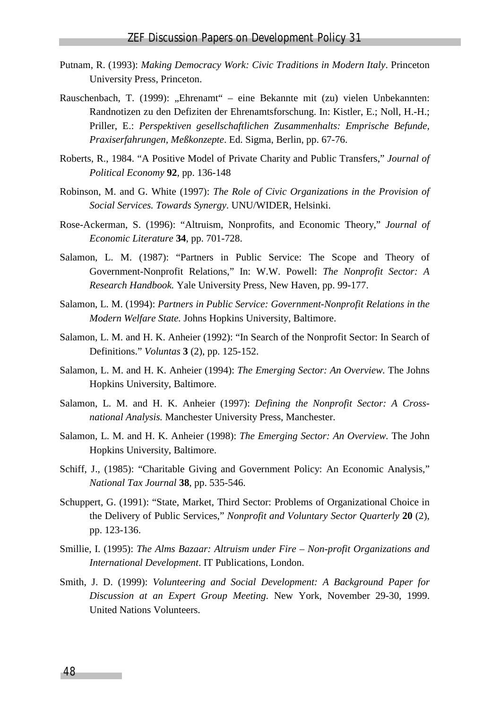- Putnam, R. (1993): *Making Democracy Work: Civic Traditions in Modern Italy*. Princeton University Press, Princeton.
- Rauschenbach, T. (1999): "Ehrenamt" eine Bekannte mit (zu) vielen Unbekannten: Randnotizen zu den Defiziten der Ehrenamtsforschung. In: Kistler, E.; Noll, H.-H.; Priller, E.: *Perspektiven gesellschaftlichen Zusammenhalts: Emprische Befunde, Praxiserfahrungen, Meßkonzepte*. Ed. Sigma, Berlin, pp. 67-76.
- Roberts, R., 1984. "A Positive Model of Private Charity and Public Transfers," *Journal of Political Economy* **92**, pp. 136-148
- Robinson, M. and G. White (1997): *The Role of Civic Organizations in the Provision of Social Services. Towards Synergy*. UNU/WIDER, Helsinki.
- Rose-Ackerman, S. (1996): "Altruism, Nonprofits, and Economic Theory," *Journal of Economic Literature* **34**, pp. 701-728.
- Salamon, L. M. (1987): "Partners in Public Service: The Scope and Theory of Government-Nonprofit Relations," In: W.W. Powell: *The Nonprofit Sector: A Research Handbook.* Yale University Press, New Haven, pp. 99-177.
- Salamon, L. M. (1994): *Partners in Public Service: Government-Nonprofit Relations in the Modern Welfare State.* Johns Hopkins University, Baltimore.
- Salamon, L. M. and H. K. Anheier (1992): "In Search of the Nonprofit Sector: In Search of Definitions." *Voluntas* **3** (2), pp. 125-152.
- Salamon, L. M. and H. K. Anheier (1994): *The Emerging Sector: An Overview.* The Johns Hopkins University, Baltimore.
- Salamon, L. M. and H. K. Anheier (1997): *Defining the Nonprofit Sector: A Crossnational Analysis.* Manchester University Press, Manchester.
- Salamon, L. M. and H. K. Anheier (1998): *The Emerging Sector: An Overview.* The John Hopkins University, Baltimore.
- Schiff, J., (1985): "Charitable Giving and Government Policy: An Economic Analysis," *National Tax Journal* **38**, pp. 535-546.
- Schuppert, G. (1991): "State, Market, Third Sector: Problems of Organizational Choice in the Delivery of Public Services," *Nonprofit and Voluntary Sector Quarterly* **20** (2), pp. 123-136.
- Smillie, I. (1995): *The Alms Bazaar: Altruism under Fire Non-profit Organizations and International Development*. IT Publications, London.
- Smith, J. D. (1999): *Volunteering and Social Development: A Background Paper for Discussion at an Expert Group Meeting*. New York, November 29-30, 1999. United Nations Volunteers.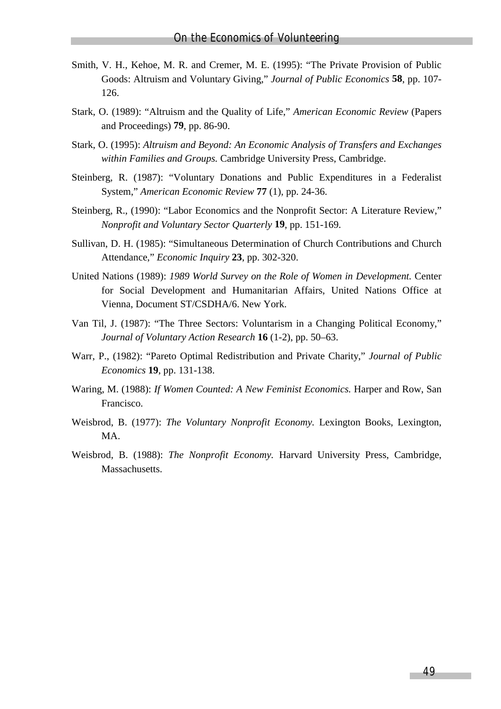- Smith, V. H., Kehoe, M. R. and Cremer, M. E. (1995): "The Private Provision of Public Goods: Altruism and Voluntary Giving," *Journal of Public Economics* **58**, pp. 107- 126.
- Stark, O. (1989): "Altruism and the Quality of Life," *American Economic Review* (Papers and Proceedings) **79**, pp. 86-90.
- Stark, O. (1995): *Altruism and Beyond: An Economic Analysis of Transfers and Exchanges within Families and Groups.* Cambridge University Press, Cambridge.
- Steinberg, R. (1987): "Voluntary Donations and Public Expenditures in a Federalist System," *American Economic Review* **77** (1), pp. 24-36.
- Steinberg, R., (1990): "Labor Economics and the Nonprofit Sector: A Literature Review," *Nonprofit and Voluntary Sector Quarterly* **19**, pp. 151-169.
- Sullivan, D. H. (1985): "Simultaneous Determination of Church Contributions and Church Attendance," *Economic Inquiry* **23**, pp. 302-320.
- United Nations (1989): *1989 World Survey on the Role of Women in Development.* Center for Social Development and Humanitarian Affairs, United Nations Office at Vienna, Document ST/CSDHA/6. New York.
- Van Til, J. (1987): "The Three Sectors: Voluntarism in a Changing Political Economy," *Journal of Voluntary Action Research* **16** (1-2), pp. 50–63.
- Warr, P., (1982): "Pareto Optimal Redistribution and Private Charity," *Journal of Public Economics* **19**, pp. 131-138.
- Waring, M. (1988): *If Women Counted: A New Feminist Economics.* Harper and Row, San Francisco.
- Weisbrod, B. (1977): *The Voluntary Nonprofit Economy.* Lexington Books, Lexington, MA.
- Weisbrod, B. (1988): *The Nonprofit Economy.* Harvard University Press, Cambridge, Massachusetts.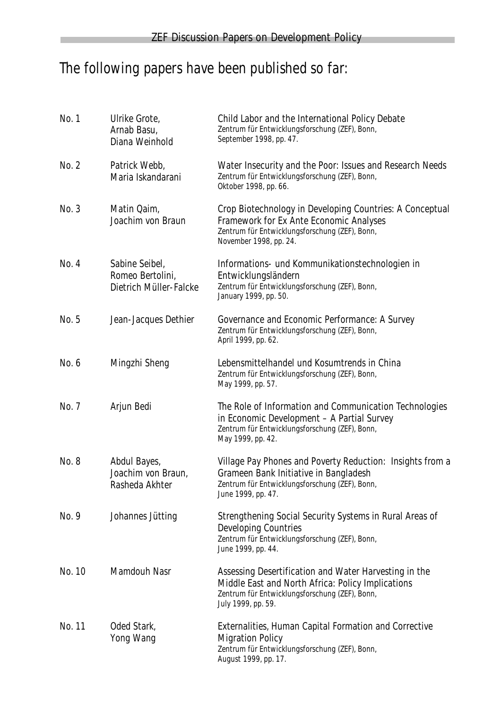# The following papers have been published so far:

| No. 1  | Ulrike Grote,<br>Arnab Basu,<br>Diana Weinhold               | Child Labor and the International Policy Debate<br>Zentrum für Entwicklungsforschung (ZEF), Bonn,<br>September 1998, pp. 47.                                                       |
|--------|--------------------------------------------------------------|------------------------------------------------------------------------------------------------------------------------------------------------------------------------------------|
| No. 2  | Patrick Webb,<br>Maria Iskandarani                           | Water Insecurity and the Poor: Issues and Research Needs<br>Zentrum für Entwicklungsforschung (ZEF), Bonn,<br>Oktober 1998, pp. 66.                                                |
| No. 3  | Matin Qaim,<br>Joachim von Braun                             | Crop Biotechnology in Developing Countries: A Conceptual<br>Framework for Ex Ante Economic Analyses<br>Zentrum für Entwicklungsforschung (ZEF), Bonn,<br>November 1998, pp. 24.    |
| No. 4  | Sabine Seibel,<br>Romeo Bertolini,<br>Dietrich Müller-Falcke | Informations- und Kommunikationstechnologien in<br>Entwicklungsländern<br>Zentrum für Entwicklungsforschung (ZEF), Bonn,<br>January 1999, pp. 50.                                  |
| No. 5  | Jean-Jacques Dethier                                         | Governance and Economic Performance: A Survey<br>Zentrum für Entwicklungsforschung (ZEF), Bonn,<br>April 1999, pp. 62.                                                             |
| No. 6  | Mingzhi Sheng                                                | Lebensmittelhandel und Kosumtrends in China<br>Zentrum für Entwicklungsforschung (ZEF), Bonn,<br>May 1999, pp. 57.                                                                 |
| No. 7  | Arjun Bedi                                                   | The Role of Information and Communication Technologies<br>in Economic Development - A Partial Survey<br>Zentrum für Entwicklungsforschung (ZEF), Bonn,<br>May 1999, pp. 42.        |
| No. 8  | Abdul Bayes,<br>Joachim von Braun,<br>Rasheda Akhter         | Village Pay Phones and Poverty Reduction: Insights from a<br>Grameen Bank Initiative in Bangladesh<br>Zentrum für Entwicklungsforschung (ZEF), Bonn,<br>June 1999, pp. 47.         |
| No. 9  | Johannes Jütting                                             | Strengthening Social Security Systems in Rural Areas of<br><b>Developing Countries</b><br>Zentrum für Entwicklungsforschung (ZEF), Bonn,<br>June 1999, pp. 44.                     |
| No. 10 | Mamdouh Nasr                                                 | Assessing Desertification and Water Harvesting in the<br>Middle East and North Africa: Policy Implications<br>Zentrum für Entwicklungsforschung (ZEF), Bonn,<br>July 1999, pp. 59. |
| No. 11 | Oded Stark,<br>Yong Wang                                     | <b>Externalities, Human Capital Formation and Corrective</b><br><b>Migration Policy</b><br>Zentrum für Entwicklungsforschung (ZEF), Bonn,<br>August 1999, pp. 17.                  |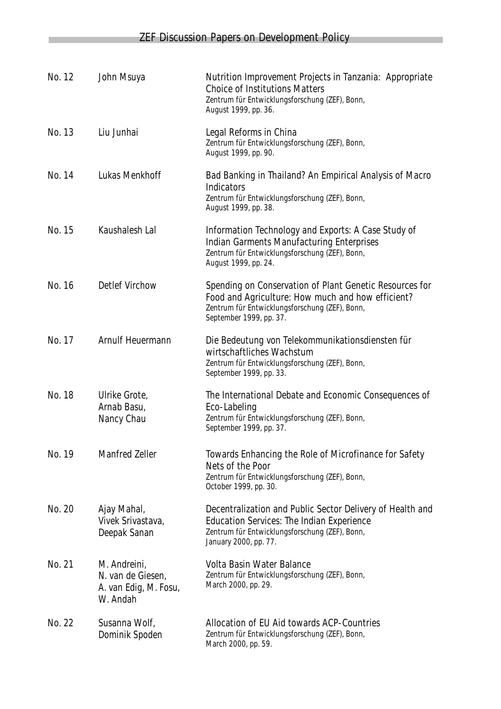| No. 12 | John Msuya                                                             | Nutrition Improvement Projects in Tanzania: Appropriate<br><b>Choice of Institutions Matters</b><br>Zentrum für Entwicklungsforschung (ZEF), Bonn,<br>August 1999, pp. 36.                |
|--------|------------------------------------------------------------------------|-------------------------------------------------------------------------------------------------------------------------------------------------------------------------------------------|
| No. 13 | Liu Junhai                                                             | Legal Reforms in China<br>Zentrum für Entwicklungsforschung (ZEF), Bonn,<br>August 1999, pp. 90.                                                                                          |
| No. 14 | Lukas Menkhoff                                                         | Bad Banking in Thailand? An Empirical Analysis of Macro<br>Indicators<br>Zentrum für Entwicklungsforschung (ZEF), Bonn,<br>August 1999, pp. 38.                                           |
| No. 15 | Kaushalesh Lal                                                         | Information Technology and Exports: A Case Study of<br><b>Indian Garments Manufacturing Enterprises</b><br>Zentrum für Entwicklungsforschung (ZEF), Bonn,<br>August 1999, pp. 24.         |
| No. 16 | Detlef Virchow                                                         | Spending on Conservation of Plant Genetic Resources for<br>Food and Agriculture: How much and how efficient?<br>Zentrum für Entwicklungsforschung (ZEF), Bonn,<br>September 1999, pp. 37. |
| No. 17 | Arnulf Heuermann                                                       | Die Bedeutung von Telekommunikationsdiensten für<br>wirtschaftliches Wachstum<br>Zentrum für Entwicklungsforschung (ZEF), Bonn,<br>September 1999, pp. 33.                                |
| No. 18 | Ulrike Grote,<br>Arnab Basu,<br>Nancy Chau                             | The International Debate and Economic Consequences of<br>Eco-Labeling<br>Zentrum für Entwicklungsforschung (ZEF), Bonn,<br>September 1999, pp. 37.                                        |
| No. 19 | <b>Manfred Zeller</b>                                                  | Towards Enhancing the Role of Microfinance for Safety<br>Nets of the Poor<br>Zentrum für Entwicklungsforschung (ZEF), Bonn,<br>October 1999, pp. 30.                                      |
| No. 20 | Ajay Mahal,<br>Vivek Srivastava,<br>Deepak Sanan                       | Decentralization and Public Sector Delivery of Health and<br><b>Education Services: The Indian Experience</b><br>Zentrum für Entwicklungsforschung (ZEF), Bonn,<br>January 2000, pp. 77.  |
| No. 21 | M. Andreini,<br>N. van de Giesen,<br>A. van Edig, M. Fosu,<br>W. Andah | Volta Basin Water Balance<br>Zentrum für Entwicklungsforschung (ZEF), Bonn,<br>March 2000, pp. 29.                                                                                        |
| No. 22 | Susanna Wolf,<br>Dominik Spoden                                        | Allocation of EU Aid towards ACP-Countries<br>Zentrum für Entwicklungsforschung (ZEF), Bonn,<br>March 2000, pp. 59.                                                                       |